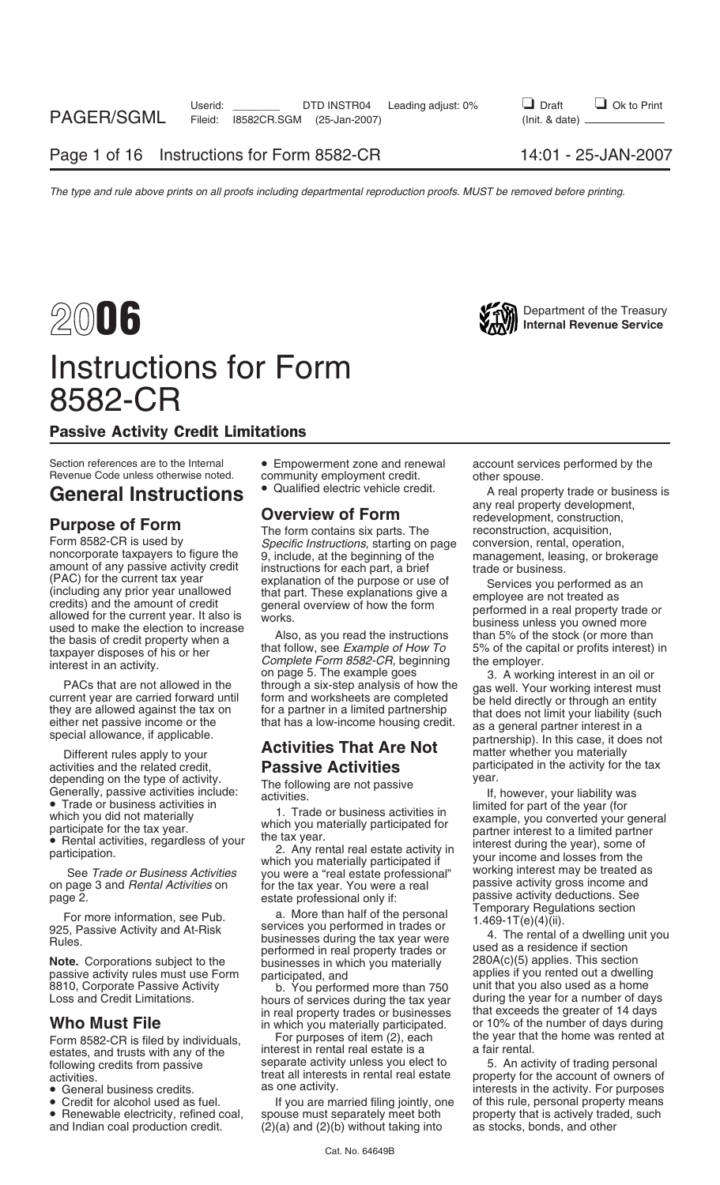# Instructions for Form 8582-CR

# Passive Activity Credit Limitations

Form 8582-CR is used by *Specific Instructions*, starting on page conversion, rental, operation,<br>noncorporate taxpayers to figure the 9, include, at the beginning of the management, leasing, or brokerage<br>amount of any pass

activities and the related credit,<br>
depending on the type of activity.<br>
The following are not passive<br> **Passive**<br>
year.

note. Corporations subject to the businesses in which you materially and the corporations subject to the businesses in which you materially applies if you rented out a dwelling<br>applies if you rented out a dwelling<br>8810, Co

- 
- 
- 

Section references are to the Internal  $\bullet$  Empowerment zone and renewal account services performed by the Revenue Code unless otherwise noted. Community employment credit community employment credit. other spouse.<br>● Qualified electric vehicle credit. other spouse.

(PAC) for the current tax year explanation of the purpose or use of (including any prior year unallowed to redits) and the amount of credit the burst and overview of how the form credits) and the amount of credit and perf

See *Trade or Business Activities* which you materially participated if the traditions of the tradition of the tax vear. You were a real estate professional" working interest may be treated as on page 3 and *Rental Activit* for the tax year. You were a real **Represent Activity gross income an**<br>estate professional only if: **really** passive activity deductions. See

Page 2.<br>
For more information, see Pub.<br>
Temporary Regulations See<br>
Temporary Regulations section<br>
925, Passive Activity and At-Risk<br>
Rules.<br>
Note. Corporations subject to the<br>
Note. Corporations subject to the<br>
Dusinesses

8810, Corporate Passive Activity b. You performed more than 750 unit that you also used as a home<br>Loss and Credit Limitations. hours of services during the tax year during the year for a number of da hours of services during the tax year during the year for a number of days in real property trades or businesses that exceeds the greater of 14 days

Form 8582-CR is filed by individuals, For purposes of item (2), each the year that the home was rented at estates, and trusts with any of the interest in rental real estate is a a fair rental.<br>
following credits from passi

• Credit for alcohol used as fuel. If you are married filing jointly, one of this rule, personal property means<br>• Renewable electricity, refined coal, spouse must separately meet both property that is actively traded, such • Renewable electricity, refined coal, spouse must separately meet both property that is actively traded, such and Indian coal production credit. (2)(a) and (2)(b) without taking into as stocks, bonds, and other  $(2)(a)$  and  $(2)(b)$  without taking into

General Instructions  $\bullet$  Qualified electric vehicle credit. A real property trade or business is any real property development, any real property development,<br> **Purpose of Form**<br> **Purpose of Form** The form contains six parts. The reconstruction, acquisition,

ecial allowance, if applicable.<br>Different rules apply to your **Activities That Are Not** matter whether you materially<br>ivities and the related credit, **Passive Activities** participated in the activity for the tax

depending on the type of activity.<br>
Generally, passive activities include:<br>
• Trade or business activities in activities activities in the following are not passive<br>
• Trade or business activities in the year of the year (

**Who Must File** in which you materially participated. or 10% of the number of days during<br>Form 8582-CB is filed by individuals For purposes of item (2), each the year that the home was rented at

Following credits from passive separate activity unless you elect to b. An activity of trading personal<br>activities.<br>• General business credits. as one activity. The activity as one activity. For purposes<br>• Credit for alcoh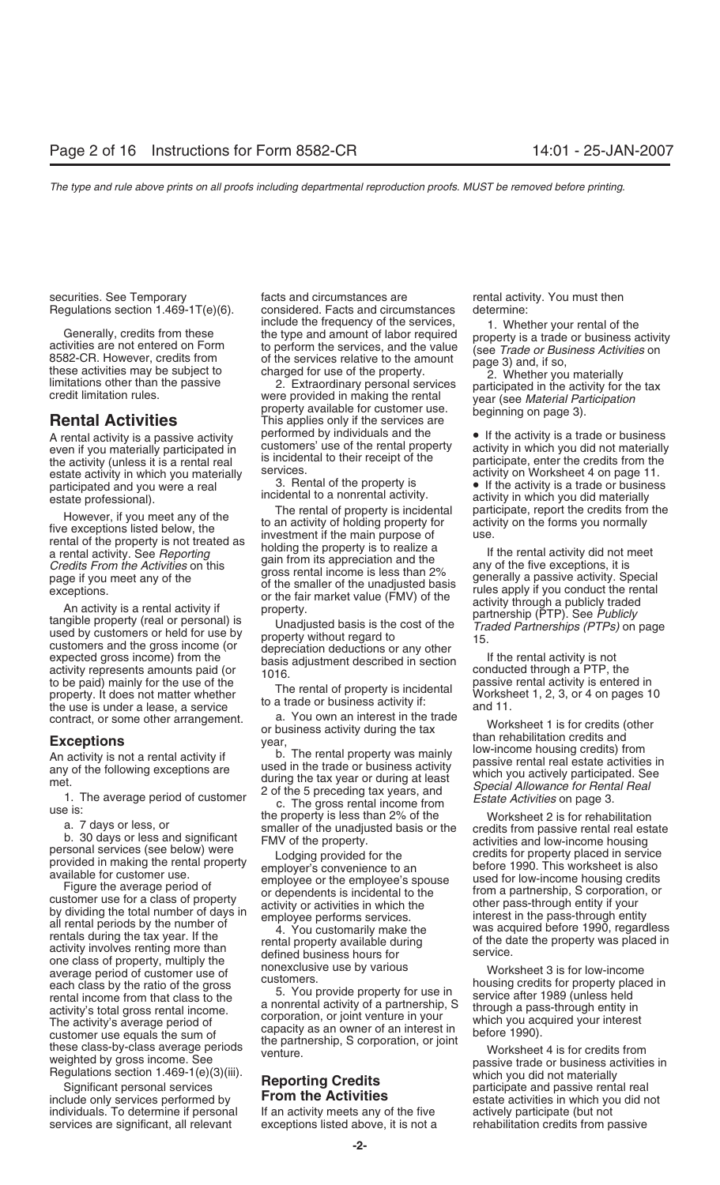Generally, credits from these the type and amount of labor required<br>activities are not entered on Form the type and amount of labor required<br>8582-CR. However, credits from the services, and the value (see *Trade or Busines* 

the activity (unless it is a rental real is incidental to their receipt of the participate, enter the credits from the estate activity in which you materially services. estate activity in which you materially services.<br>acticipated and you were a real services.<br>3. Rental of the property is participated and you were a real 3. Rental of the property is **•** If the activity is a trade or business<br>
ostate professional) incidental to a nonrental activity.

to be paid) mainly for the use of the The rental of property is incidental property. It does not matter whether The rental of property is incidental Worksheet 1, 2, 3, or 4 on pages 10 to a trade or business activity if: a

one class of property, multiply the monexclusive use by various<br>average period of customer use of nonexclusive use by various worksheet 3 is for low-income<br>bousing credits for property place each class by the ratio of the gross<br>
rental income from that class to the the service after 1989 (unless held<br>
a nonrental activity of a partnership, S<br>
a nonrental activity of a partnership, S<br>
through a pass-through ent a nonrental activity of a partnership, S<br>activity's total gross rental income. a nonrental activity of a partnership, S<br>The activity's average period of corporation, or joint venture in your which you acquired your interes activity's total gloss feller income.<br>
The activity's average period of<br>
customer use equals the sum of<br>
the partnership, S corporation, or joint<br>
these class-by-class average periods<br>
wenture.<br>
Worksheet 4 is for credits

Significant personal services **increments of centrem** participate and passive rental real<br>include only services performed by **From the Activities** estate activities in which you did not individuals. To determine if personal If an activity meets any of the five actively participate (but not services are significant, all relevant exceptions listed above, it is not a rehabilitation credits from passive

securities. See Temporary **Facts** and circumstances are **rental activity. You must then** Regulations section 1.469-1T(e)(6). considered. Facts and circumstances determine:

A rental activity is a passive activity performed by individuals and the • If the activity is a trade or business even if you materially participated in customers' use of the rental property activity in which you did not m even if you materially participated in customers' use of the rental property activity in which you did not materially<br>the activity (unless it is a rental real is incidental to their receipt of the participate, enter the cr

However, if you meet any of the the town and critique to an activity of holding property is incidental participate, report the credits from the property is not term and of the property is not the form sou normally a a rent

contract, or some other arrangement. a. You own an interest in the trade<br>or business activity during the tax<br>**Exceptions** year, when rehabilitation credits and year,

estate professional). incidental to a nonrental activity. activity in which you did materially<br>The rental of property is incidental participate, report the credits from the

The rental activity is not a rental activity if the transmision of the following exceptions are used in the transmission of the following exceptions are used in the transmission of the following exceptions are during the t

weighted by gross income. See *venture*.<br>
Reporting Credits and the passive trade or business activities in<br>
Significant personal services **Reporting Credits** by the participate and passive rental real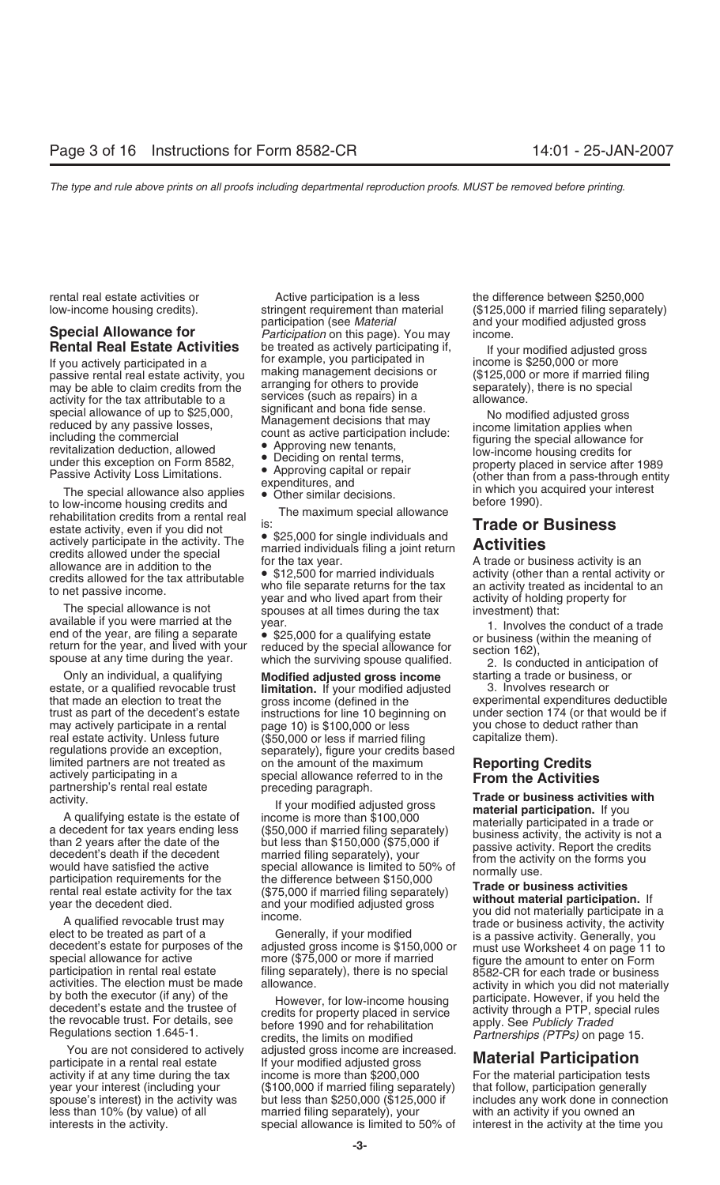estate activity, even if you did not<br>estate activity. The exact activity. The section of the section figure in the activity. The section figure in the activity. The section figure are in addition to the special<br>allowance a

real estate activity. Unless future regulations provide an exception. limited partners are not treated as a both the amount of the maximum<br>actively participating in a special allowance referred to in the **From the Activities**<br>partnership's rental real estate preceding paragraph.<br>activity. Tr

participate in a rental real estate If your modified adjusted gross **Material Participation** activity if at any time during the tax income is more than \$200,000 For the material participation tests year your interest (including your (\$100,000 if married filing separately) that follow, participation generally spouse's interest) in the activity was but less than \$250,000 (\$125,000 if includes any work done in connection less than 10% (by value) of all married filing separately), your with an activity if you owned an interests in the activity. special allowance is limited to 50% of interest in the activity at the time you

rental real estate activities or example active participation is a less the difference between \$250,000 participation (see *Material* and your modified adjusted gross **Special Allowance for** *Participation* on this page). You may income. **Rental Real Estate Activities** be treated as actively participating if, <br>If you actively participated in a for example, you participated in income is \$250,000 or more<br>passive rental real estate activity, you making manage

- 
- 
- 
- 

Only an individual, a qualifying **Modified adjusted gross income** starting a trade or business, or estate, or a qualified revocable trust **limitation.** If your modified adjusted that made an election to treat the gross income (defined in the instructions for line 10 beginning on under section 174 (or that would page 10) is \$100,000 or less you chose to deduct rather than may actively participate in a rental page 10) is \$100,000 or less you chose to deduct real estate activity. Unless future (\$50,000 or less if married filing capitalize them). regulations provide an exception, separately), figure your credits based limited partners are not treated as on the amount of the maximum

activity.<br>
A qualifying estate is the estate of income is more than \$100,000<br>
a decedent for tax years ending less (\$50,000 if married filing separately)<br>
decedent of the than 2 years and the decedent<br>
than 2 years after t

You are not considered to actively adjusted gross income are increased.

low-income housing credits). stringent requirement than material (\$125,000 if married filing separately)

special allowance of up to \$25,000,<br>
including the commercial<br>
including the commercial<br>
including the commercial<br>
including the commercial<br>
including the commercial<br>
including the commercial<br>
count as active participation

that made an election to treat the gross income (defined in the experimental expenditures deductible trust as part of the decedent's estate instructions for line 10 beginning on under section 174 (or that would be if

activities. The election must be made<br>by both the executor (if any) of the However, for low-income housing<br>decedent's estate and the trustee of<br>the revocable trust. For details, see before 1990 and for rehabilitation<br>Regul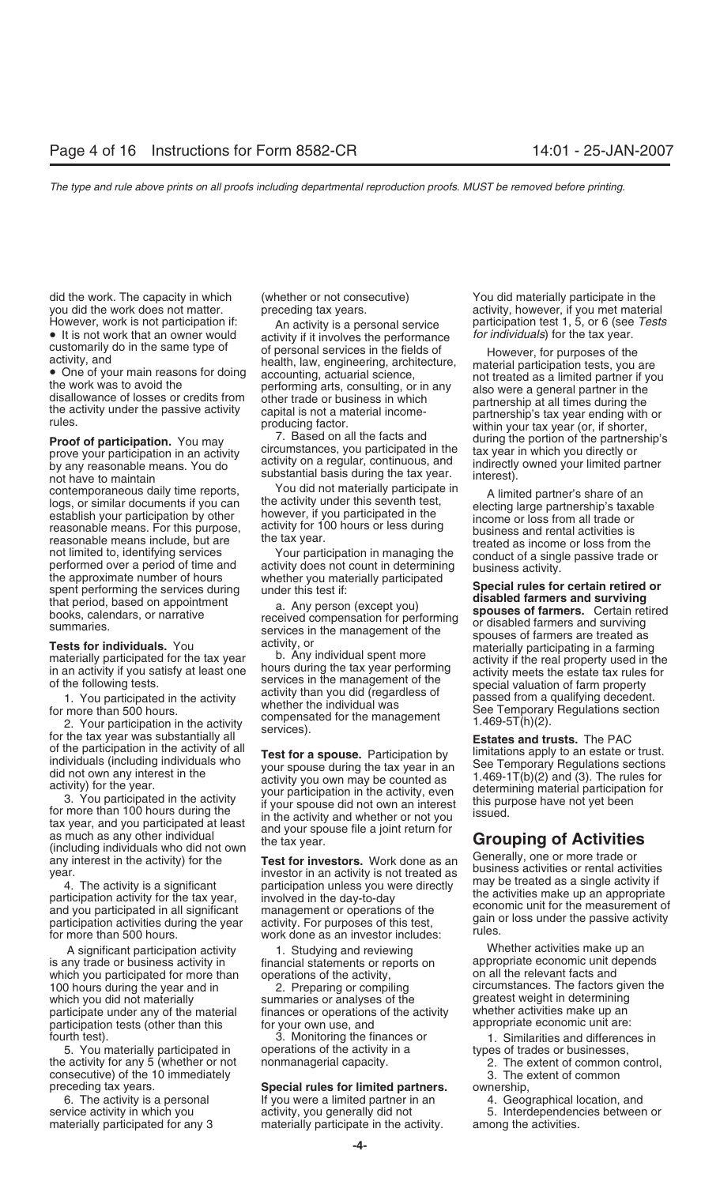did the work. The capacity in which (whether or not consecutive) You did materially participate in the

by any reasonable means. You do a regular, continuous, and indirectly by any reasonable means. You do substantial basis during the tax year. interest).<br>
contemporaneous daily time reports You did not materially participate

establish your participation by other nowever, if you participated in the<br>reasonable means. For this purpose, activity for 100 hours or less during<br>reasonable means include, but are the tax year.<br>not limited to, identifyin

is any trade or business activity in financial statements or reports on appropriate economic unit d<br>which you participated for more than conerations of the activity. The network on all the relevant facts and which you participated for more than operations of the activity, which you did not materially summaries or analyses of the greatest weight in determining<br>participate under any of the material finances or operations of the activity whether activities make up an participate under any of the material finances or operations of the activity whether activities make up an<br>contricipation tests (other than this for your own use, and same appropriate economic unit are: participation tests (other than this appropriate equal own use, and fourth test). 3. Monitoring the finances or 1. Similarities and differences in

5. You materially participated in operations of the activity in a types of trades or businesses, the activity for any 5 (whether or not nonmanagerial capacity. 2. The extent of common control, consecutive) of the 10 immediately 3. The extent of common

• It is not work that an owner would activity if it involves the performance customarily do in the same type of or personal services in the fields of customarily do in the same type of of personal services in the fields of activity, and bealth, law, engineering, architecture, the material participation tests, you are health, law, engineering, architecture, the work was

prove your participation in an activity circumstances, you participated in the tax year in which you directly or<br>by any reasonable means You do activity on a regular, continuous, and indirectly owned your limited partner

contemporaneous daily time reports,<br>
logs, or similar documents if you can<br>
establish your participation by other<br>
establish your participation by other<br>
establish your participation by other<br>
establish your participation

of the participation in the activity of all<br>
individuals who<br>
individuals apply to an estate or trust.<br>
individuals (including individuals who<br>
id not own may interest in the<br>
activity) for the year.<br>
activity you wou may

# preceding tax years. **Special rules for limited partners.** ownership,

6. The activity is a personal If you were a limited partner in an 4. Geographical location, and materially participated for any 3 materially participate in the activity. among the activities.

you did the work does not matter. expreceding tax years. The material provide the work does not material However, work is not participation if: extitation the activity is a personal service participation test 1, 5, or 6 (see Tests<br>• It is not work that an owner would activity if it involves the performance for *individuals*)

rules. producing factor. within your tax year (or, if shorter,<br>**Proof of participation.** You may **7.** Based on all the facts and during the portion of the partnership's<br>prove your participation in an activity circumstances

not limited to, identifying services<br>
the approximate number of the and<br>
the approximate number of hours<br>
the approximate number of hours<br>
the approximate number of hours<br>
the approximate number of hours<br>
the and activity

A significant participation activity and the Studying and reviewing the sum whether activities make up an and the than the financial statements or reports on the appropriate economic unit depends 100 hours during the year and in 2. Preparing or compiling circumstances. The factors given the

service activity in which you activity, you generally did not 5. Interdependencies between or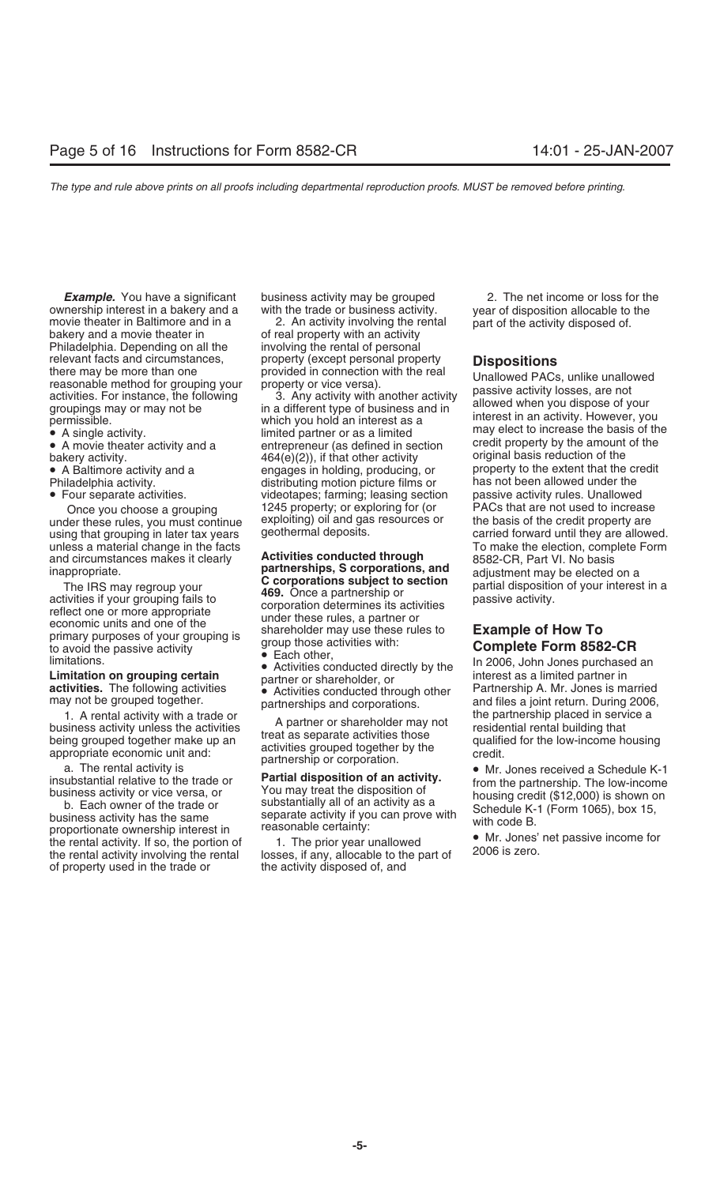ownership interest in a bakery and a with the trade or business activity. year of disposition allocable to the<br>movie theater in Baltimore and in a 2. An activity involving the rental part of the activity disposed of. movie theater in Baltimore and in a 2. An activity involving the rental part of the activity disposed of.<br>bakery and a movie theater in of real property with an activity<br>Philadelphia. Depending on all the involving the ren Philadelphia. Depending on all the relevant facts and circumstances, and property (except personal property<br>
there may be more than one provided in connection with the real<br>
reasonable method for grouping your<br>
activities. For instance, the following 3. An

bakery activity.  $464(e)(2)$ , if that other activity

- 
- 
- 

under these rules, you must continue exploiting) oil and gase using the credit property using the credit proper and circumstances makes it clearly **Activities conducted through** 8582-CR, Part VI. No basis<br>**partnerships, S corporations, and** adjustment may be elected

inappropriate. **Example of How To**<br>
The IRS may regroup your<br>
activities if your grouping fails to<br>
reflect one or more appropriate<br>
economic units and one of the<br>
primary purposes of your grouping is<br>
activities with:<br>
ac

of property used in the trade or the activity disposed of, and

• A single activity.<br>• A movie theater activity and a entrepreneur (as defined in section credit property by the amount of the and the default of the default of the default original basis reduction of the default of the de • A Baltimore activity and a engages in holding, producing, or extent that the credit Philadelphia activity and a extent that the credit producing, or the extent that the credit production of the extent the credit producti Philadelphia activity. distributing motion picture films or has not been allowed under the been allowed under the not been allowed under the norm of  $P$ • Four separate activities. videotapes; farming; leasing section passive activity rules. Unallowed Once you choose a grouping 1245 property; or exploring for (or explosition PACs that are not used to increase<br>Her these rules, you must continue exploiting) oil and gas resources or the basis of the credit property are

**Example.** You have a significant business activity may be grouped 2. The net income or loss for the nership interest in a bakery and a with the trade or business activity. The near of disposition allocable to the

using that grouping in later tax years geothermal deposits. The carried forward until they are allowed. unless a material change in the facts<br>and circumstances makes it clearly **Activities conducted through**  $\frac{1}{8582-CP}$  Part VL No basis

Fractivity<br>
to avoid the passive activity<br>
limitations.<br> **Limitation on grouping certain**<br> **Complete Form 8582-CR**<br>
Imitations.<br> **Limitation on grouping certain**<br> **Complete Form 8582-CR**<br>
In 2006, John Jones purchased an<br>

1. A rental activity with a trade or<br>
business activity unless the activities<br>
being grouped together make up an<br>
appropriate conomic unit and:<br>
a The rental activity is<br>
a The rental activity is<br>
a The rental activity is<br>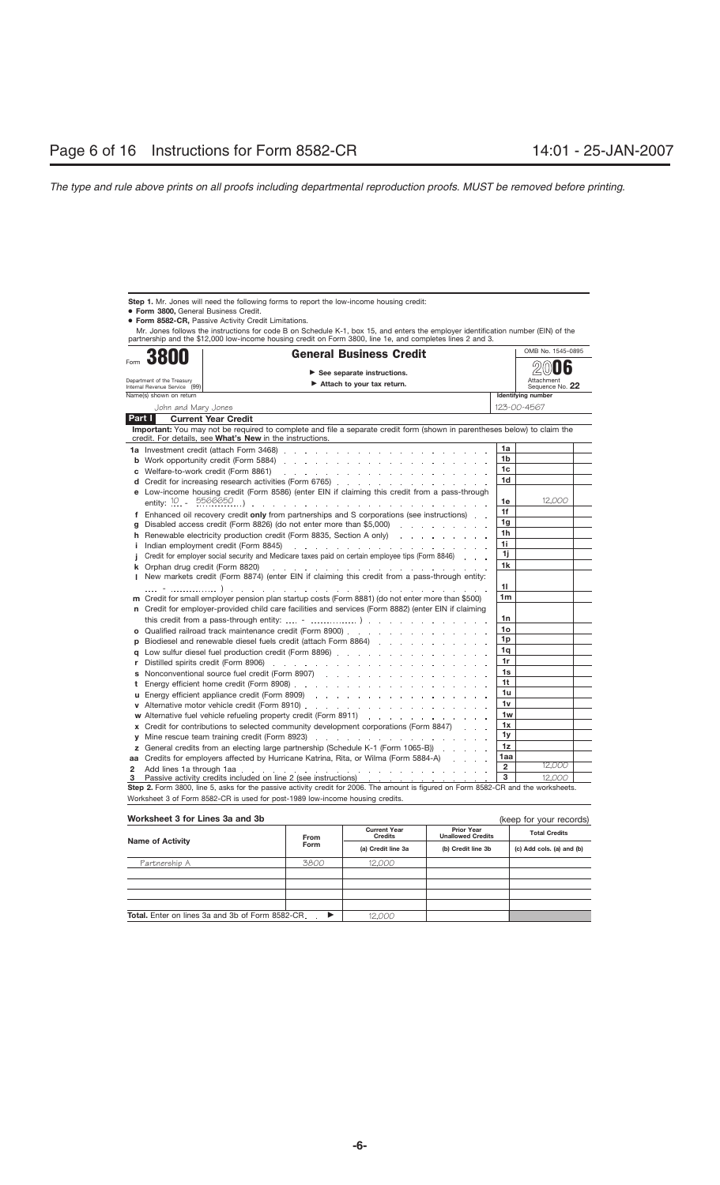**Step 1.** Mr. Jones will need the following forms to report the low-income housing credit:

● **Form 3800,** General Business Credit.

● **Form 8582-CR,** Passive Activity Credit Limitations.

Mr. Jones follows the instructions for code B on Schedule K-1, box 15, and enters the employer identification number (EIN) of the<br>partnership and the \$12,000 low-income housing credit on Form 3800, line 1e, and completes l

|        | <b>General Business Credit</b><br>3800                                        |                                                                                                                                                                                                                                | OMB No. 1545-0895    |                           |  |  |  |  |
|--------|-------------------------------------------------------------------------------|--------------------------------------------------------------------------------------------------------------------------------------------------------------------------------------------------------------------------------|----------------------|---------------------------|--|--|--|--|
| Form   |                                                                               |                                                                                                                                                                                                                                |                      |                           |  |  |  |  |
|        | See separate instructions.<br>Department of the Treasury                      |                                                                                                                                                                                                                                |                      | Attachment                |  |  |  |  |
|        | Internal Revenue Service (99)                                                 | Attach to your tax return.                                                                                                                                                                                                     |                      | Sequence No. 22           |  |  |  |  |
|        | Name(s) shown on return                                                       |                                                                                                                                                                                                                                |                      | <b>Identifying number</b> |  |  |  |  |
|        | John and Mary Jones                                                           |                                                                                                                                                                                                                                |                      | 123-00-4567               |  |  |  |  |
| Part I |                                                                               | <b>Current Year Credit</b>                                                                                                                                                                                                     |                      |                           |  |  |  |  |
|        |                                                                               | Important: You may not be required to complete and file a separate credit form (shown in parentheses below) to claim the<br>credit. For details, see What's New in the instructions.                                           |                      |                           |  |  |  |  |
|        |                                                                               |                                                                                                                                                                                                                                | 1a                   |                           |  |  |  |  |
|        |                                                                               |                                                                                                                                                                                                                                | 1b                   |                           |  |  |  |  |
| c      |                                                                               | Welfare-to-work credit (Form 8861)                                                                                                                                                                                             | 1c                   |                           |  |  |  |  |
| d      |                                                                               | Credit for increasing research activities (Form 6765).                                                                                                                                                                         | 1d                   |                           |  |  |  |  |
| е      |                                                                               | Low-income housing credit (Form 8586) (enter EIN if claiming this credit from a pass-through                                                                                                                                   |                      |                           |  |  |  |  |
|        |                                                                               |                                                                                                                                                                                                                                | 1e                   | 12,000                    |  |  |  |  |
|        |                                                                               | f Enhanced oil recovery credit only from partnerships and S corporations (see instructions)                                                                                                                                    | 1f                   |                           |  |  |  |  |
| g      |                                                                               | Disabled access credit (Form 8826) (do not enter more than \$5,000)                                                                                                                                                            | 1 <sub>q</sub>       |                           |  |  |  |  |
| h      |                                                                               | Renewable electricity production credit (Form 8835, Section A only)                                                                                                                                                            | 1h                   |                           |  |  |  |  |
| Ť.     |                                                                               |                                                                                                                                                                                                                                | 1i                   |                           |  |  |  |  |
|        |                                                                               | Credit for employer social security and Medicare taxes paid on certain employee tips (Form 8846)                                                                                                                               | 1j                   |                           |  |  |  |  |
| k      |                                                                               | Orphan drug credit (Form 8820)<br>the second contract of the contract of the contract of the contract of the                                                                                                                   | 1k                   |                           |  |  |  |  |
| L      |                                                                               | New markets credit (Form 8874) (enter EIN if claiming this credit from a pass-through entity:                                                                                                                                  |                      |                           |  |  |  |  |
|        |                                                                               | the contract of the contract of the contract of the contract of the contract of                                                                                                                                                | 11<br>1 <sub>m</sub> |                           |  |  |  |  |
|        |                                                                               | m Credit for small employer pension plan startup costs (Form 8881) (do not enter more than \$500)                                                                                                                              |                      |                           |  |  |  |  |
|        |                                                                               | n Credit for employer-provided child care facilities and services (Form 8882) (enter EIN if claiming                                                                                                                           | 1n                   |                           |  |  |  |  |
|        |                                                                               |                                                                                                                                                                                                                                | 1o                   |                           |  |  |  |  |
| o      |                                                                               | Qualified railroad track maintenance credit (Form 8900)                                                                                                                                                                        | 1 <sub>p</sub>       |                           |  |  |  |  |
| D      |                                                                               |                                                                                                                                                                                                                                | 1q                   |                           |  |  |  |  |
| a      |                                                                               |                                                                                                                                                                                                                                | 1r                   |                           |  |  |  |  |
| r      |                                                                               |                                                                                                                                                                                                                                | 1s                   |                           |  |  |  |  |
| t      |                                                                               |                                                                                                                                                                                                                                | 1 <sub>t</sub>       |                           |  |  |  |  |
| u      |                                                                               |                                                                                                                                                                                                                                | 1u                   |                           |  |  |  |  |
| V      |                                                                               |                                                                                                                                                                                                                                | 1v                   |                           |  |  |  |  |
|        |                                                                               |                                                                                                                                                                                                                                | 1w                   |                           |  |  |  |  |
| x      |                                                                               | Credit for contributions to selected community development corporations (Form 8847)                                                                                                                                            | 1x                   |                           |  |  |  |  |
| v      |                                                                               |                                                                                                                                                                                                                                | 1 <sub>y</sub>       |                           |  |  |  |  |
|        |                                                                               | <b>z</b> General credits from an electing large partnership (Schedule K-1 (Form 1065-B))                                                                                                                                       | 1z                   |                           |  |  |  |  |
|        |                                                                               | aa Credits for employers affected by Hurricane Katrina, Rita, or Wilma (Form 5884-A)                                                                                                                                           | 1aa                  |                           |  |  |  |  |
| 2      |                                                                               | Add lines 1a through 1aa education and a contract the contract of the contract of the contract of the contract of the contract of the contract of the contract of the contract of the contract of the contract of the contract | $\overline{2}$       | 12,000                    |  |  |  |  |
| з      |                                                                               | Passive activity credits included on line 2 (see instructions) entitled as a contract of the contract of the P                                                                                                                 | 3                    | 12,000                    |  |  |  |  |
|        |                                                                               | Step 2. Form 3800, line 5, asks for the passive activity credit for 2006. The amount is figured on Form 8582-CR and the worksheets.                                                                                            |                      |                           |  |  |  |  |
|        | Worksheet 3 of Form 8582-CR is used for post-1989 low-income housing credits. |                                                                                                                                                                                                                                |                      |                           |  |  |  |  |

| Worksheet 3 for Lines 3a and 3b                  |                                                                                    | (keep for your records) |                                               |                      |  |
|--------------------------------------------------|------------------------------------------------------------------------------------|-------------------------|-----------------------------------------------|----------------------|--|
|                                                  | <b>Current Year</b><br><b>Credits</b><br><b>From</b><br>Form<br>(a) Credit line 3a |                         | <b>Prior Year</b><br><b>Unallowed Credits</b> | <b>Total Credits</b> |  |
| <b>Name of Activity</b>                          |                                                                                    | (b) Credit line 3b      | (c) Add cols. (a) and (b)                     |                      |  |
| Partnership A                                    | 3800                                                                               | 12.000                  |                                               |                      |  |
|                                                  |                                                                                    |                         |                                               |                      |  |
|                                                  |                                                                                    |                         |                                               |                      |  |
|                                                  |                                                                                    |                         |                                               |                      |  |
|                                                  |                                                                                    |                         |                                               |                      |  |
| Total. Enter on lines 3a and 3b of Form 8582-CR. | ▸                                                                                  | 12.000                  |                                               |                      |  |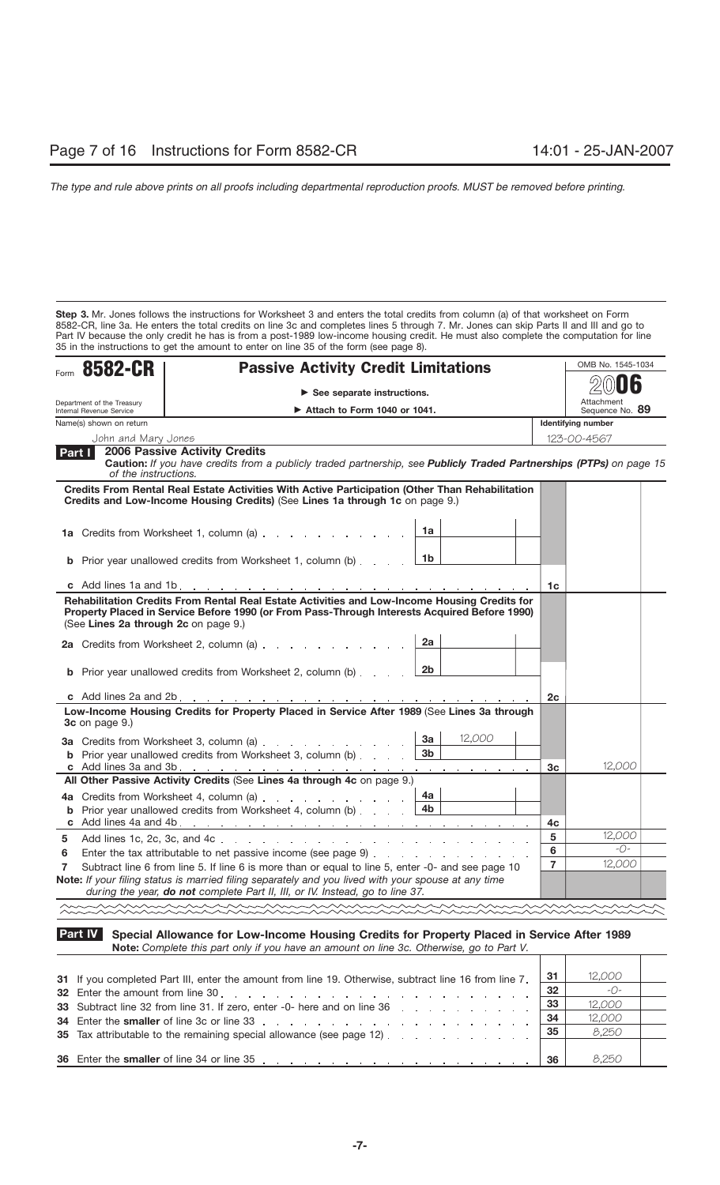**Step 3.** Mr. Jones follows the instructions for Worksheet 3 and enters the total credits from column (a) of that worksheet on Form 8582-CR, line 3a. He enters the total credits on line 3c and completes lines 5 through 7. Mr. Jones can skip Parts II and III and go to Part IV because the only credit he has is from a post-1989 low-income housing credit. He must also complete the computation for line 35 in the instructions to get the amount to enter on line 35 of the form (see page 8).

| Form 8582-CR                         | <b>Passive Activity Credit Limitations</b>                                                                                                                                                                    |                      |                | OMB No. 1545-1034         |
|--------------------------------------|---------------------------------------------------------------------------------------------------------------------------------------------------------------------------------------------------------------|----------------------|----------------|---------------------------|
| Department of the Treasury           |                                                                                                                                                                                                               | Attachment           |                |                           |
| Internal Revenue Service             |                                                                                                                                                                                                               | Sequence No. 89      |                |                           |
| Name(s) shown on return              |                                                                                                                                                                                                               |                      |                | <b>Identifying number</b> |
| John and Mary Jones                  | <b>2006 Passive Activity Credits</b>                                                                                                                                                                          |                      |                | 123-00-4567               |
| Part I<br>of the instructions.       | Caution: If you have credits from a publicly traded partnership, see Publicly Traded Partnerships (PTPs) on page 15                                                                                           |                      |                |                           |
|                                      | Credits From Rental Real Estate Activities With Active Participation (Other Than Rehabilitation<br>Credits and Low-Income Housing Credits) (See Lines 1a through 1c on page 9.)                               |                      |                |                           |
|                                      | 1a Credits from Worksheet 1, column (a)                                                                                                                                                                       | 1a                   |                |                           |
|                                      | <b>b</b> Prior year unallowed credits from Worksheet 1, column (b)                                                                                                                                            | 1b                   |                |                           |
|                                      |                                                                                                                                                                                                               |                      | 1c             |                           |
| (See Lines 2a through 2c on page 9.) | Property Placed in Service Before 1990 (or From Pass-Through Interests Acquired Before 1990)<br>2a Credits from Worksheet 2, column (a)<br><b>b</b> Prior year unallowed credits from Worksheet 2, column (b) | 2a<br>2 <sub>b</sub> |                |                           |
| c Add lines 2a and 2b                | the contract of the contract of the contract of the contract of the contract of the contract of                                                                                                               |                      | 2c             |                           |
| 3c on page 9.)                       | Low-Income Housing Credits for Property Placed in Service After 1989 (See Lines 3a through                                                                                                                    |                      |                |                           |
|                                      | 3a Credits from Worksheet 3, column (a)                                                                                                                                                                       | 3a<br>12,000         |                |                           |
|                                      | <b>b</b> Prior year unallowed credits from Worksheet 3, column (b)                                                                                                                                            | 3 <sub>b</sub>       |                |                           |
|                                      |                                                                                                                                                                                                               |                      | 3c             | 12,000                    |
|                                      | All Other Passive Activity Credits (See Lines 4a through 4c on page 9.)                                                                                                                                       |                      |                |                           |
|                                      | 4a Credits from Worksheet 4, column (a)                                                                                                                                                                       | 4a<br>4 <sub>b</sub> |                |                           |
|                                      | <b>b</b> Prior year unallowed credits from Worksheet 4, column (b)                                                                                                                                            |                      | 4c             |                           |
| 5                                    |                                                                                                                                                                                                               |                      | 5              | 12,000                    |
| 6                                    | Enter the tax attributable to net passive income (see page 9)                                                                                                                                                 |                      | 6              | $ O-$                     |
| 7                                    | Subtract line 6 from line 5. If line 6 is more than or equal to line 5, enter -0- and see page 10                                                                                                             |                      | $\overline{7}$ | 12,000                    |
|                                      | Note: If your filing status is married filing separately and you lived with your spouse at any time<br>during the year, do not complete Part II, III, or IV. Instead, go to line 37.                          |                      |                |                           |
|                                      |                                                                                                                                                                                                               |                      |                |                           |

## **Special Allowance for Low-Income Housing Credits for Property Placed in Service After 1989 Note:** *Complete this part only if you have an amount on line 3c. Otherwise, go to Part V.* **Part IV**

| 31 If you completed Part III, enter the amount from line 19. Otherwise, subtract line 16 from line 7.                                                                                                                          | 31   | 12,000       |  |
|--------------------------------------------------------------------------------------------------------------------------------------------------------------------------------------------------------------------------------|------|--------------|--|
|                                                                                                                                                                                                                                | -32  | $ \bigcap$ – |  |
| 33 Subtract line 32 from line 31. If zero, enter -0- here and on line 36 manufacture 1.1 manufacture 1.1 manufacture 1.1 manufacture 1.1 manufacture 1.1 manufacture 1.1 manufacture 1.1 manufacture 1.1 manufacture 1.1 manuf | 33   | 12,000       |  |
| 34 Enter the smaller of line 3c or line 33 enterprise the state of the state of the smaller of line 33                                                                                                                         | ∣ 34 | 12,000       |  |
| 35 Tax attributable to the remaining special allowance (see page 12)                                                                                                                                                           | 35   | 8,250        |  |
|                                                                                                                                                                                                                                |      |              |  |
| 36 Enter the smaller of line 34 or line 35, et al., et al., et al., et al., et al., et al., et al., et al., et al., et al., et al., et al., et al., et al., et al., et al., et al., et al., et al., et al., et al., et al., et | 36   | 8.250        |  |

T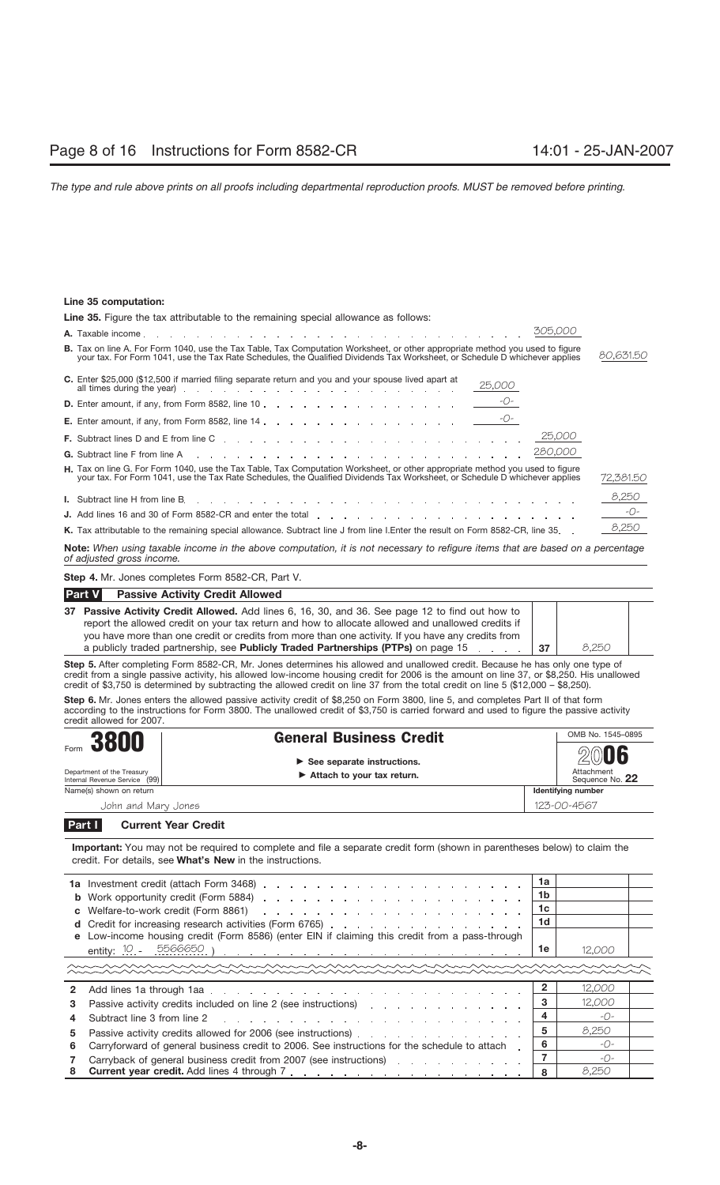# **Line 35 computation:**

| Line 35. Figure the tax attributable to the remaining special allowance as follows:                                                                                                                                                                                                                                                              |                              |  |  |  |  |  |
|--------------------------------------------------------------------------------------------------------------------------------------------------------------------------------------------------------------------------------------------------------------------------------------------------------------------------------------------------|------------------------------|--|--|--|--|--|
| 305,000                                                                                                                                                                                                                                                                                                                                          |                              |  |  |  |  |  |
| <b>B.</b> Tax on line A. For Form 1040, use the Tax Table, Tax Computation Worksheet, or other appropriate method you used to figure<br>your tax. For Form 1041, use the Tax Rate Schedules, the Qualified Dividends Tax Worksheet, or Schedule D whichever applies                                                                              | 80,631.50                    |  |  |  |  |  |
| C. Enter \$25,000 (\$12,500 if married filing separate return and you and your spouse lived apart at<br>25,000<br>all times during the year) entries and the set of the set of the set of the set of the set of the set of the set of the set of the set of the set of the set of the set of the set of the set of the set of the set of the set |                              |  |  |  |  |  |
|                                                                                                                                                                                                                                                                                                                                                  |                              |  |  |  |  |  |
|                                                                                                                                                                                                                                                                                                                                                  |                              |  |  |  |  |  |
|                                                                                                                                                                                                                                                                                                                                                  |                              |  |  |  |  |  |
|                                                                                                                                                                                                                                                                                                                                                  |                              |  |  |  |  |  |
| H. Tax on line G. For Form 1040, use the Tax Table, Tax Computation Worksheet, or other appropriate method you used to figure<br>your tax. For Form 1041, use the Tax Rate Schedules, the Qualified Dividends Tax Worksheet, or Schedule D whichever applies                                                                                     | 72,381.50                    |  |  |  |  |  |
|                                                                                                                                                                                                                                                                                                                                                  | 8,250                        |  |  |  |  |  |
|                                                                                                                                                                                                                                                                                                                                                  | $\overline{\phantom{a}}$ -O- |  |  |  |  |  |
| K. Tax attributable to the remaining special allowance. Subtract line J from line I. Enter the result on Form 8582-CR, line 35.                                                                                                                                                                                                                  | 8,250                        |  |  |  |  |  |

**Note:** *When using taxable income in the above computation, it is not necessary to refigure items that are based on a percentage of adjusted gross income.*

**Step 4.** Mr. Jones completes Form 8582-CR, Part V.

| <b>Part V</b><br><b>Passive Activity Credit Allowed</b>                                                                                                                                                                                                                                                    |       |  |
|------------------------------------------------------------------------------------------------------------------------------------------------------------------------------------------------------------------------------------------------------------------------------------------------------------|-------|--|
| 37 Passive Activity Credit Allowed. Add lines 6, 16, 30, and 36. See page 12 to find out how to<br>report the allowed credit on your tax return and how to allocate allowed and unallowed credits if<br>you have more than one credit or credits from more than one activity. If you have any credits from |       |  |
|                                                                                                                                                                                                                                                                                                            |       |  |
| a publicly traded partnership, see Publicly Traded Partnerships (PTPs) on page 15                                                                                                                                                                                                                          | 8.250 |  |

**Step 5.** After completing Form 8582-CR, Mr. Jones determines his allowed and unallowed credit. Because he has only one type of credit from a single passive activity, his allowed low-income housing credit for 2006 is the amount on line 37, or \$8,250. His unallowed credit of \$3,750 is determined by subtracting the allowed credit on line 37 from the total credit on line 5 (\$12,000 – \$8,250).

**Step 6.** Mr. Jones enters the allowed passive activity credit of \$8,250 on Form 3800, line 5, and completes Part II of that form according to the instructions for Form 3800. The unallowed credit of \$3,750 is carried forward and used to figure the passive activity credit allowed for 2007.

| 3800                                                                | <b>General Business Credit</b>                                                                  |  | OMB No. 1545-0895                     |  |
|---------------------------------------------------------------------|-------------------------------------------------------------------------------------------------|--|---------------------------------------|--|
| Form<br>Department of the Treasury<br>Internal Revenue Service (99) | $\triangleright$ See separate instructions.<br>$\blacktriangleright$ Attach to your tax return. |  | 2006<br>Attachment<br>Sequence No. 22 |  |
| Name(s) shown on return                                             |                                                                                                 |  | Identifying number                    |  |
| John and Mary Jones                                                 |                                                                                                 |  | 123-00-4567                           |  |
| $\sim$ $\sim$ $\sim$ $\sim$                                         |                                                                                                 |  |                                       |  |

## **Current Year Credit Part I**

**Important:** You may not be required to complete and file a separate credit form (shown in parentheses below) to claim the credit. For details, see **What's New** in the instructions.

|   |                                                                                                                                                                                                                                                        | 1a |               |  |
|---|--------------------------------------------------------------------------------------------------------------------------------------------------------------------------------------------------------------------------------------------------------|----|---------------|--|
|   |                                                                                                                                                                                                                                                        | 1b |               |  |
|   | c Welfare-to-work credit (Form 8861)<br>and a series of the contract of the contract of the contract of the contract of                                                                                                                                | 1c |               |  |
|   |                                                                                                                                                                                                                                                        | 1d |               |  |
|   | e Low-income housing credit (Form 8586) (enter EIN if claiming this credit from a pass-through                                                                                                                                                         |    |               |  |
|   | entity: 10 - 5566650<br>the contract of the contract of the contract of the contract of the contract of the contract of the contract of the contract of the contract of the contract of the contract of the contract of the contract of the contract o | 1e | 12,000        |  |
|   |                                                                                                                                                                                                                                                        |    |               |  |
| 2 | Add lines 1a through 1aa et al., and a series and a series and a series and a series are a series and in the series of the series of the series of the series of the series of the series of the series of the series of the s                         |    | 12,000        |  |
|   | Passive activity credits included on line 2 (see instructions) respectively. The set of the set of the Passive activity credits included on line 2 (see instructions)                                                                                  | з  | 12,000        |  |
|   |                                                                                                                                                                                                                                                        |    | $-$ O-        |  |
| 5 | Passive activity credits allowed for 2006 (see instructions)                                                                                                                                                                                           | 5  | 8.250         |  |
| 6 | Carryforward of general business credit to 2006. See instructions for the schedule to attach                                                                                                                                                           | 6  | $-()$         |  |
|   | Carryback of general business credit from 2007 (see instructions)                                                                                                                                                                                      |    | $ \bigcirc$ – |  |
| 8 |                                                                                                                                                                                                                                                        | 8  | 8.250         |  |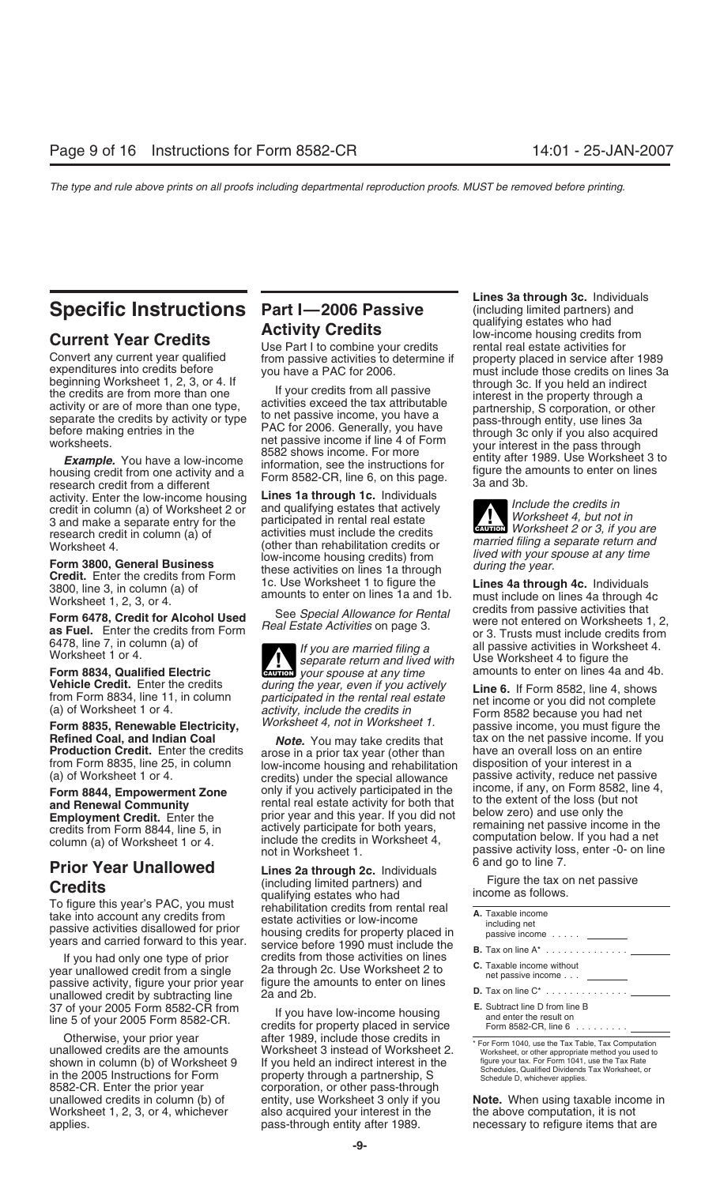activity. Enter the low-income housing **Lines 1a through 1c.** Individuals credit in column (a) of Worksheet 2 or<br>credit in column (a) of Worksheet 2 or and qualifying estates that actively<br>research credit in column (a) of the participated in rental real estate<br>research credit in column (a) of ac

**Refined Coal, and Indian Coal** *Note.* You may take credits that tax on the net passive income. If you<br>**Production Credit.** Enter the credits arose in a prior tax year (other than have an overall loss on an entire

year unallowed credit from a single 2a through 2c. Use Worksheet 2 to nessive activity, figure your prior year ligure the amounts to enter on lines passive activity, figure your prior year figure the a<br>unallowed credit by subtracting line 2a and 2b. 37 of your 2005 Form 8582-CR from<br>line 5 of your 2005 Form 8582-CR. The State of your 2005 Form 8582-CR.

applies. **pass-through entity after 1989.** The entity after necessary to refigure items that are

# **Specific Instructions Part I—2006 Passive** (including limited partners) and<br>**Activity Credits** (including limited partners) and<br>Inw-income housing credits from

Form 3800, General Business<br>
The 3, in you are<br>
Several Business<br>
The Summer and the credits of the credit of the credit of the credit of the search of the search of the search of the search of the search of the search of

**Form 8834, Qualified Electric CAUTION** *your spouse at any time*<br>**Vehicle Credit.** Enter the credits *during the year, even if you actively* 

**Production Credit.** Enter the credits arose in a prior tax year (other than have an overall loss on an entire<br>from Form 8835, line 25, in column low-income housing and rehabilitation disposition of your interest in a from Form 8835, line 25, in column low-income housing and rehabilitation<br>(a) of Worksheet 1 or 4. credits) under the special allowance **Form 8844, Empowerment Zone** only if you actively participated in the income, if any, on Form 8582, line and **Renewal Community** rental real estate activity for both that to the extent of the loss (but not **and Renewal Co Employment Credit.** Enter the **the state of the prior year and this year.** If you did not below zero) and use only the credits from Form 8844, line 5 in actively participate for both years, remaining net passive income in credits from Form 8844, line 5, in actively participate for both years,<br>column (a) of Worksheet 1 or 4. include the credits in Worksheet 4, computation below. If you had a net<br>not in Worksheet 1. include the credits in Wor

**Prior Year Unallowed Lines 2a through 2c.** Individuals **Line 8** and go to line 7.<br>**Creating Line is a set of the United Dartners** and **Eliquipe Indian Property Examples Eliquipe Indian Property** (including limited partners) and Figure the tax on **Credits**<br>To figure this year's PAC, you must rehabilitation credits from rental real income as follows. To figure this year's PAC, you must<br>take into account any credits from estate activities or low-income<br>passive activities disallowed for prior housing credits for property placed in<br>years and carried forward to this year. If you had only one type of prior credits from those activities on lines<br>In unallowed credit from a single 2a through 2c. Use Worksheet 2 to

Otherwise, your prior year after 1989, include those credits in<br>
unallowed credits are the amounts Worksheet 3 instead of Worksheet 2.<br>
shown in column (b) of Worksheet 9 If you held an indirect interest in the figure your shown in column (b) of Worksheet 9 If you held an indirect interest in the figure your tax. For Form 1041, use the Tax Rate<br>in the 2005 Instructions for Form property through a partnership, S<br>8582-CR. Enter the prior year corporation, or other pass-through Worksheet 1, 2, 3, or 4, whichever also acquired your interest in the the above computation, it is not

**Lines 3a through 3c.** Individuals **Activity Credits** and the sum of the set ates who had **Current Year Credits**<br>
Use Part I to combine your credits rental real estate activities for Convert any current year qualified from passive activities to determine if property placed in service after 1989 expenditures into credits before you have a PAC for 2006.<br>
beginning Worksheet 1, 2, 3, or 4. If the service beginning Worksheet 1, 2, 3, or 4. If<br>the credits are from more than one<br>activity or are of more than one type,<br>activities exceed the tax attributable<br>before making entries in the<br>before making entries in the<br>before making

**ENTION** Worksheet 2 or 3, if you are

Security and the security of the Use Worksheet 1 to figure the **Lines 4a through 4c.** Individuals amounts to enter on lines 1a and 1b. must include on lines 4a through 4c<br>Worksheet 1, 2, 3, or 4.<br>The Security of Special Al Form 6478, Credit for Alcohol Used<br>
Form 6478, Credit for Alcohol Used<br>
as Fuel. Enter the credits from Form Real Estate Activities on page 3.<br>
or 3. Trusts must include credits from **16478, line 7, in column (a) of** all passive activities in Worksheet 1 or 4.<br> **If you are married filing a** all passive activities in Worksheet 4.<br> **If you are married filing a** all passive activities in Worksheet 4.<br> **If** 

**Vehicle Credit.** Enter the credits during the year, even if you actively<br>from Form 8834, line 11, in column participated in the rental real estate form and income or you did not complete<br>(a) of Worksheet 1 or 4. activity, passive activity, reduce net passive<br>income, if any, on Form 8582, line 4, passive activity loss, enter -0- on line<br>6 and go to line 7.

| A. Taxable income<br>including net<br>passive income ________                                        |
|------------------------------------------------------------------------------------------------------|
| <b>B.</b> Tax on line $A^*$                                                                          |
| <b>C.</b> Taxable income without<br>net passive income                                               |
| <b>D.</b> Tax on line $C^*$                                                                          |
| $E$ . Subtract line D from line B<br>and enter the result on<br>Form 8582-CR, line $6 \ldots \ldots$ |

unallowed credits in column (b) of entity, use Worksheet 3 only if you **Note.** When using taxable income in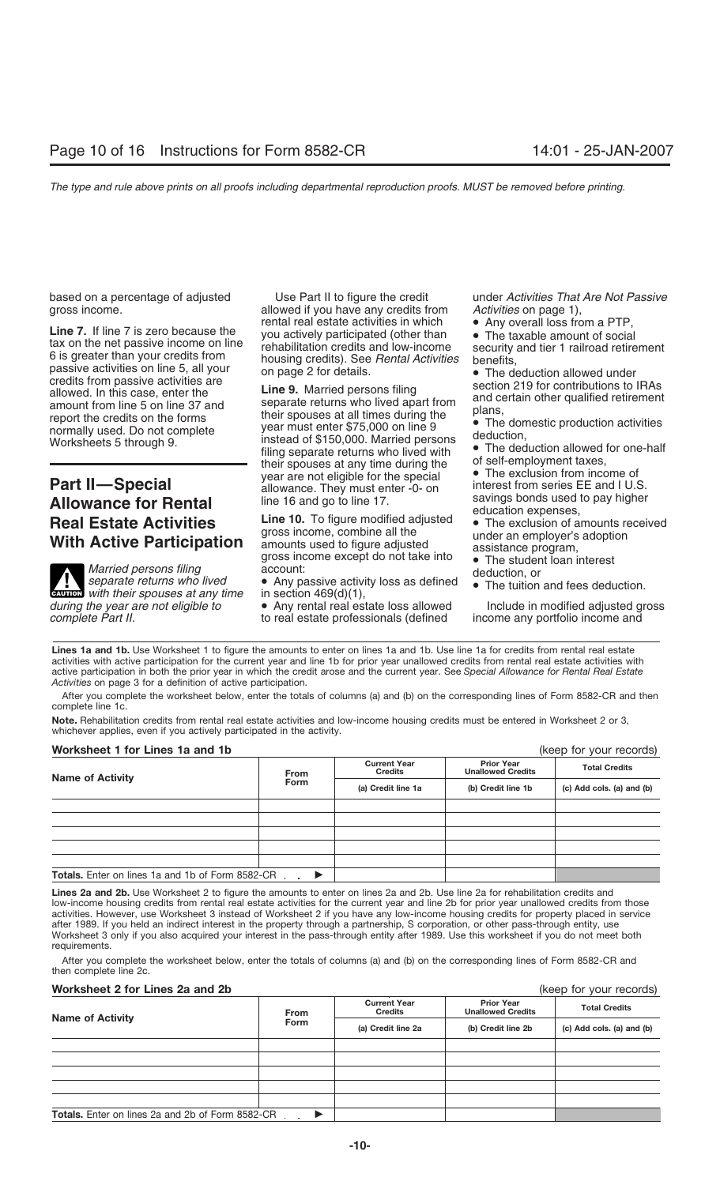**Example 1** and expertise the the special of the term in the special of the special of the special of the special of the special of the special of the special of the special of the special of the special of the special of

# **Allowance for Rental** line 16 and go to line 17. savings bonds used to pay higher<br> **Real Estate Activities Line 10.** To figure modified adjusted **•** The exclusion of amounts received

**EAUTION** with their spouses at any time *during the year are not eligible to* • Any rental real estate loss allowed Include in modified adjusted gross

based on a percentage of adjusted Use Part II to figure the credit under *Activities That Are Not Passive* gross income.<br>
allowed if you have any credits from *Activities* on page 1),<br>
ental real estate activities in which • Any overall loss from a PTP,

**With Active Participation** gross income, combine all the under an employer's adoption<br> **With Active Participation** amounts used to figure adjusted assistance program,<br>
Married persons filing account:<br>
separate returns wh

to real estate professionals (defined

- 
- 

Lines 1a and 1b. Use Worksheet 1 to figure the amounts to enter on lines 1a and 1b. Use line 1a for credits from rental real estate activities with active participation for the current year and line 1b for prior year unallowed credits from rental real estate activities with active participation in both the prior year in which the credit arose and the current year. See *Special Allowance for Rental Real Estate Activities* on page 3 for a definition of active participation.

After you complete the worksheet below, enter the totals of columns (a) and (b) on the corresponding lines of Form 8582-CR and then complete line 1c.

**Note.** Rehabilitation credits from rental real estate activities and low-income housing credits must be entered in Worksheet 2 or 3, whichever applies, even if you actively participated in the activity.

# **Worksheet 1 for Lines 1a and 1b** (keep for your records)

| WOI RSHEEL I TOI LIHES THE HIGH TO                      |                                   |                                       |                                               | ( <i>veeh</i> in <i>loom</i> lecolor) |  |
|---------------------------------------------------------|-----------------------------------|---------------------------------------|-----------------------------------------------|---------------------------------------|--|
| <b>Name of Activity</b>                                 | <b>From</b>                       | <b>Current Year</b><br><b>Credits</b> | <b>Prior Year</b><br><b>Unallowed Credits</b> | <b>Total Credits</b>                  |  |
|                                                         | <b>Form</b><br>(a) Credit line 1a |                                       | (b) Credit line 1b                            | (c) Add cols. (a) and (b)             |  |
|                                                         |                                   |                                       |                                               |                                       |  |
|                                                         |                                   |                                       |                                               |                                       |  |
|                                                         |                                   |                                       |                                               |                                       |  |
|                                                         |                                   |                                       |                                               |                                       |  |
|                                                         |                                   |                                       |                                               |                                       |  |
| <b>Totals.</b> Enter on lines 1a and 1b of Form 8582-CR |                                   |                                       |                                               |                                       |  |

Lines 2a and 2b. Use Worksheet 2 to figure the amounts to enter on lines 2a and 2b. Use line 2a for rehabilitation credits and low-income housing credits from rental real estate activities for the current year and line 2b for prior year unallowed credits from those activities. However, use Worksheet 3 instead of Worksheet 2 if you have any low-income housing credits for property placed in service after 1989. If you held an indirect interest in the property through a partnership, S corporation, or other pass-through entity, use Worksheet 3 only if you also acquired your interest in the pass-through entity after 1989. Use this worksheet if you do not meet both requirements.

After you complete the worksheet below, enter the totals of columns (a) and (b) on the corresponding lines of Form 8582-CR and then complete line 2c.

# **Worksheet 2 for Lines 2a and 2b**

| (keep for your records) |  |
|-------------------------|--|
|-------------------------|--|

| <b>Name of Activity</b>                                 | <b>Credits</b><br><b>From</b><br><b>Form</b><br>(a) Credit line 2a | <b>Current Year</b> | <b>Prior Year</b><br><b>Unallowed Credits</b> | <b>Total Credits</b> |  |
|---------------------------------------------------------|--------------------------------------------------------------------|---------------------|-----------------------------------------------|----------------------|--|
|                                                         |                                                                    | (b) Credit line 2b  | (c) Add cols. (a) and (b)                     |                      |  |
|                                                         |                                                                    |                     |                                               |                      |  |
|                                                         |                                                                    |                     |                                               |                      |  |
|                                                         |                                                                    |                     |                                               |                      |  |
|                                                         |                                                                    |                     |                                               |                      |  |
|                                                         |                                                                    |                     |                                               |                      |  |
| <b>Totals.</b> Enter on lines 2a and 2b of Form 8582-CR |                                                                    |                     |                                               |                      |  |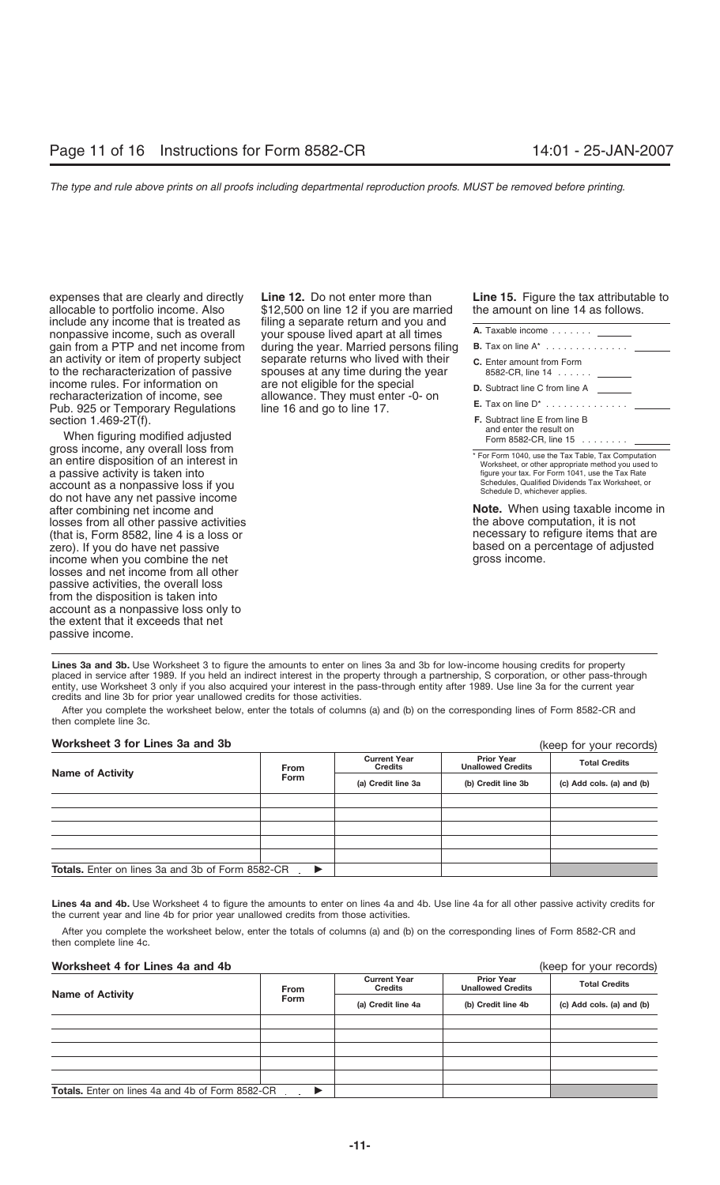include any income that is treated as filing a separate return and you and **nonpassive income, such as overall** your spouse lived apart at all times an activity or item of property subject separate returns who lived with their to the recharacterization of passive spouses at any time during the year income rules. For information on are not eligible for the special recharacterization of income, see allowance. They must enter -0- on section 1.469-2T(f).

When figuring modified adjusted<br>gross income, any overall loss from gross income, any overall loss from the Tax Table, Tax Computation<br>
an entire disposition of an interest in Worksheet, or other appropriate method you used to<br>
a passive activity is taken into a passive activity is taken into account as a nonpassive loss if you<br>account as a nonpassive loss if you Schedule D, whichever applies.<br>
Schedule D, whichever applies.<br>
Schedule D, whichever applies.<br> **Schedule D, whichever applies.**<br> **Schedule D, whichever applies.**<br> **Note.** When using tax and losses from all other passive activities the above computation, it is not the above computation, it is not the above computation, it is not the above computation, it is not the above computation, it is not the above comput (that is, Form 8582, line 4 is a loss or necessary to refigure items that are necessary to refigure items that are  $\frac{1}{2}$  are necessary to refigure items that are  $\frac{1}{2}$  and  $\frac{1}{2}$  are necessary to refigure items zero). If you do have net passive based on a percentage of a percentage of a percentage of a percentage of a p<br>based on a percentage of a percentage of a percentage of a percentage of a percentage of a percentage of a per income when you combine the net losses and net income from all other passive activities, the overall loss from the disposition is taken into account as a nonpassive loss only to the extent that it exceeds that net passive income.

expenses that are clearly and directly **Line 12.** Do not enter more than **Line 15.** Figure the tax attributable to allocable to portfolio income. Also \$12,500 on line 12 if you are married the amount on line 14 as follows. gain from a PTP and net income from during the year. Married persons filing spouses at any time during the year Pub. 925 or Temporary Regulations line 16 and go to line 17.

| <b>A.</b> Taxable income                             |  |
|------------------------------------------------------|--|
| <b>B.</b> Tax on line $A^*$                          |  |
| <b>C.</b> Enter amount from Form<br>8582-CR, line 14 |  |
| <b>D.</b> Subtract line C from line A                |  |
| $\mathsf{F}$ Tay on line $\mathsf{D}^*$              |  |

| <b>F.</b> Subtract line E from line B            |  |
|--------------------------------------------------|--|
| and enter the result on<br>Form 8582-CR, line 15 |  |

**Note.** When using taxable income in the above computation, it is not

Lines 3a and 3b. Use Worksheet 3 to figure the amounts to enter on lines 3a and 3b for low-income housing credits for property placed in service after 1989. If you held an indirect interest in the property through a partnership, S corporation, or other pass-through entity, use Worksheet 3 only if you also acquired your interest in the pass-through entity after 1989. Use line 3a for the current year credits and line 3b for prior year unallowed credits for those activities.

After you complete the worksheet below, enter the totals of columns (a) and (b) on the corresponding lines of Form 8582-CR and then complete line 3c.

# **Worksheet 3 for Lines 3a and 3b**

Totals. Enter on lines 3a and 3b of Form 8582-CR . ▶ (keep for your records) **Prior Year Unallowed Credits Current Year Credits Credits Credits Credits Credit College in the Credit Credit Credit in the Credit of Credit Credits Credit Integral Credit Integral Credit Integral Credit line 3b (c)** Add cols. (a) and (b)

**Lines 4a and 4b.** Use Worksheet 4 to figure the amounts to enter on lines 4a and 4b. Use line 4a for all other passive activity credits for the current year and line 4b for prior year unallowed credits from those activities.

After you complete the worksheet below, enter the totals of columns (a) and (b) on the corresponding lines of Form 8582-CR and then complete line 4c.

# **Worksheet 4 for Lines 4a and 4b** (keep for your records)

| <b>Name of Activity</b>                                 | <b>From</b> | <b>Current Year</b><br><b>Credits</b> | <b>Prior Year</b><br><b>Unallowed Credits</b> | <b>Total Credits</b>      |  |
|---------------------------------------------------------|-------------|---------------------------------------|-----------------------------------------------|---------------------------|--|
|                                                         | <b>Form</b> | (a) Credit line 4a                    | (b) Credit line 4b                            | (c) Add cols. (a) and (b) |  |
|                                                         |             |                                       |                                               |                           |  |
|                                                         |             |                                       |                                               |                           |  |
|                                                         |             |                                       |                                               |                           |  |
|                                                         |             |                                       |                                               |                           |  |
|                                                         |             |                                       |                                               |                           |  |
| <b>Totals.</b> Enter on lines 4a and 4b of Form 8582-CR |             |                                       |                                               |                           |  |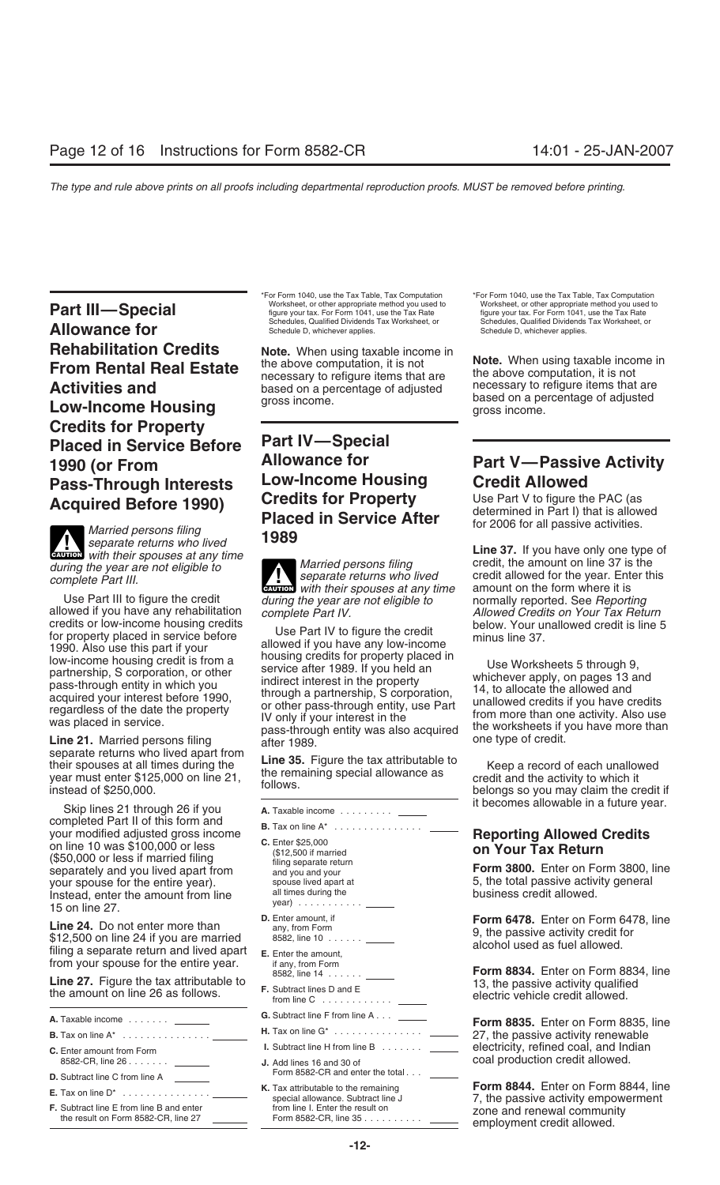**Part III—Special** Worksheet, or other appropriate method you used to worksheet, or other appropriate method you used to worksheet, or other appropriate method you used to the Tax Rate or Form 1041, use the Tax Rate figure **Allowance for Schedules**, Qualified Dividends Tax Worksheet, or Schedules, Qualified Dividends Tax Worksheet, or Schedules, Qualified Dividends Tax Worksheet, or **Rehabilitation Credits**<br> **From Rental Real Estate**<br> **Activities and** the above computation, it is not<br> **Activities and** based on a percentage of adjusted based on a percentage of adjusted **Activities and** based on a percentage of adjusted **the example income items** that are **Low-Income Housing** gross income.<br>**Low-Income Housing** gross income. **Credits for Property Placed in Service Before Part IV—Special Pass-Through Interests** LOW-Income Housing Credit Allowed<br>Acquired Before 1990) Credits for Property Use Part V to figure the PAC (as

 $\epsilon$  *separate returns who lived* **line 37.** If you have only one type of **CAUTION** *with their spouses at any time* **Line 37.** If you have only one type of **CAUTION** *with their spouses at any time* 

separate returns who lived apart from<br>their spouses at all times during the **Line 35.** Figure the tax attributable to<br>year must enter \$125,000 on line 21, the remaining special allowance as eredit and the activity to which

Skip lines 21 through 26 if you **A.** Taxable income ........... \_\_\_\_\_\_\_\_\_ it becomes allowable in a future year.<br>
completed Part II of this form and completed Part II of this form and<br>your modified adjusted gross income<br>on line 10 was \$100,000 or less c. Enter \$25,000<br>(\$50,000 or less if married filing eparate return filing separate return Fax Return Factor of Line 10 (\$50,000 or less if married lilling<br>separately and you lived apart from and you and your **Form 3800.** Enter on Form 3800, line<br>your spouse for the entire year). The spouse lived apart at the set of the total passive activi your spouse for the entire year). Spouse lived apart at the spouse lived apart at the spouse lived apart at the spouse lived apart at the spouse lives of the spouse lives all times during the spouse business credit allowed Instead, enter the amount from line all times during the business credit allowed.<br>15 on line 27.<br>**Instead, Denot optom the party of the party of the party of the U.** Enter amount, if **Comm 6478.** Enter on Form 6478, line

**Line 24.** Do not enter more than  $$12,500$  on line 24 if you are married  $$12,500$  on line 24 if you are married  $$12,500$  on line 24 if you are married  $$12,500$  on line 24 if you are married  $$12,500$  on line 24 if you filling a separate return and lived apart  $\epsilon$ . Enter the amount,<br>from your spouse for the entire year. if any, from Form<br> $\epsilon$  is a separate for the entire year.  $\epsilon$  as  $\epsilon$  and  $\epsilon$  and  $\epsilon$  and  $\epsilon$  as  $\epsilon$  and  $\epsilon$  an

**G.** Subtract line F from line A . . . **A.** Taxable income ....... **Form 8835.** Enter on Form 8835, line **H.** Tax on line G\* ............... **B.** Tax on line A\* ............... 27, the passive activity renewable **C.** Enter amount from Form **I.** Subtract line H from line B ....... electricity, refined coal, and Indian **C.** Base-CR. line 26...... 8582-CR, line 26 ....... **J.** Add lines 16 and 30 of coal production credit allowed. **D.** Subtract line C from line A \_\_ **K.** Tax attributable to the remaining **Form 8844.** Enter on Form 8844, line special allowance. Subtract line J<br>**F.** Subtract line E from line B and enter **F.** Subtract line J 7, the passive activity empowerment from line

\*For Form 1040, use the Tax Table, Tax Computation \*For Form 1040, use the Tax Table, Tax Computation

# **Acquired Before 1990)** Creatis for Property Use Part V to figure the PAC (as<br>Placed in Service After determined in Part I) that is allowed<br>Married persons filing 1989

during the year are not eligible to<br>complete Part III. empigment of the separate returns who lived allowed for the year. Enter this<br>with their spouses at any time amount on the form where it is

credits or low-income housing credit<br>for property placed in service before<br>1990. Also use this part if your<br>
lowed if you have any low-income<br>
low-income<br>
lowed if you have any low-income<br>
partnership, S corporation, or ot

- 
- 
- 
- 
- 
- 
- 
- 
- 
- 

# **1990 (or From Allowance for Part V—Passive Activity**

Use Part III to figure the credit *during the year are not eligible to* normally reported. See *Reporting*<br>allowed if you have any rehabilitation *complete Part IV. Allowed Credits on Your Tax Return*<br>below. Your unallow

8582, line 14 ...... **Form 8834.** Enter on Form 8834, line **Line 27.** Figure the tax attributable to 13, the passive activity qualified **F.** Subtract lines D and E the amount on line 26 as follows. electric vehicle credit allowed. from line C ............

**F.** Subtract line E from line B and enter from line I. Enter the result on zone and renewal community the result on Form 8582-CR, line 27 Form 8582-CR, line 35 .......... employment credit allowed.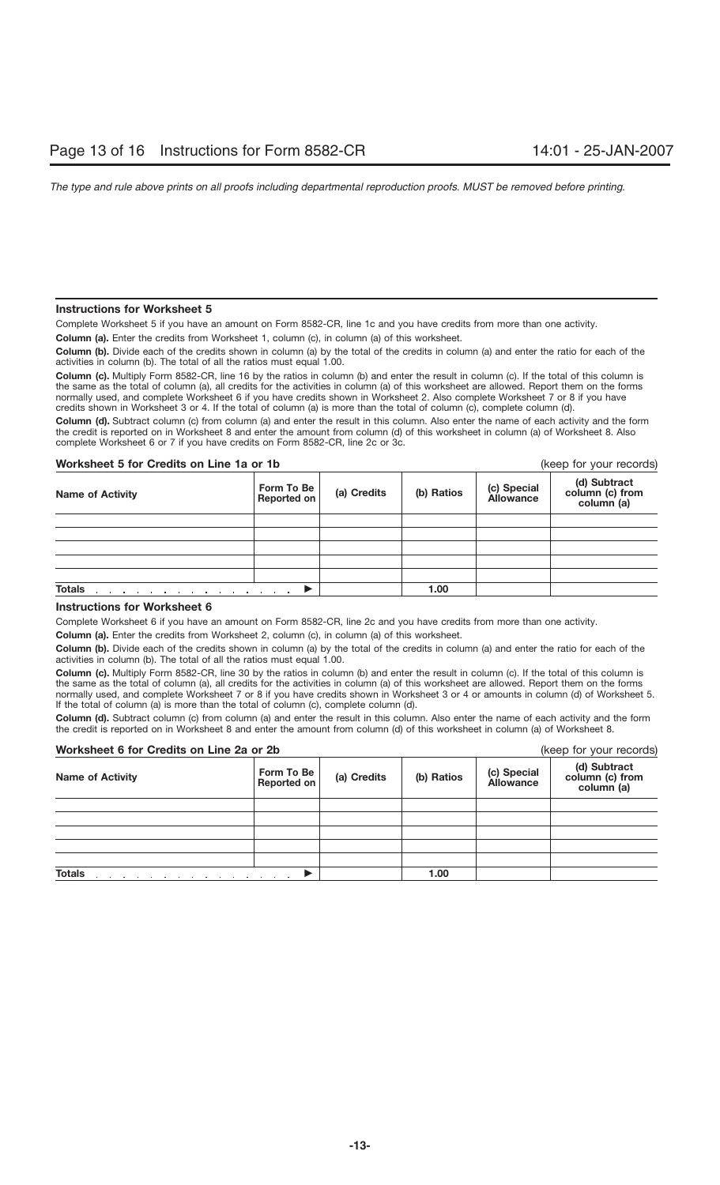# **Instructions for Worksheet 5**

Complete Worksheet 5 if you have an amount on Form 8582-CR, line 1c and you have credits from more than one activity.

**Column (a).** Enter the credits from Worksheet 1, column (c), in column (a) of this worksheet.

**Column (b).** Divide each of the credits shown in column (a) by the total of the credits in column (a) and enter the ratio for each of the activities in column (b). The total of all the ratios must equal 1.00.

**Column (c).** Multiply Form 8582-CR, line 16 by the ratios in column (b) and enter the result in column (c). If the total of this column is the same as the total of column (a), all credits for the activities in column (a) of this worksheet are allowed. Report them on the forms normally used, and complete Worksheet 6 if you have credits shown in Worksheet 2. Also complete Worksheet 7 or 8 if you have credits shown in Worksheet 3 or 4. If the total of column (a) is more than the total of column (c), complete column (d).

**Column (d).** Subtract column (c) from column (a) and enter the result in this column. Also enter the name of each activity and the form the credit is reported on in Worksheet 8 and enter the amount from column (d) of this worksheet in column (a) of Worksheet 8. Also complete Worksheet 6 or 7 if you have credits on Form 8582-CR, line 2c or 3c.

# **Worksheet 5 for Credits on Line 1a or 1b** (keep for your records)

| <b>Name of Activity</b>                                                          | Form To Be<br>Reported on | (a) Credits | (b) Ratios | (c) Special<br>Allowance | (d) Subtract<br>column (c) from<br>column (a) |
|----------------------------------------------------------------------------------|---------------------------|-------------|------------|--------------------------|-----------------------------------------------|
|                                                                                  |                           |             |            |                          |                                               |
|                                                                                  |                           |             |            |                          |                                               |
|                                                                                  |                           |             |            |                          |                                               |
|                                                                                  |                           |             |            |                          |                                               |
|                                                                                  |                           |             |            |                          |                                               |
| <b>Totals</b><br>and a series of the contract of the contract of the contract of |                           |             | 1.00       |                          |                                               |

# **Instructions for Worksheet 6**

Complete Worksheet 6 if you have an amount on Form 8582-CR, line 2c and you have credits from more than one activity.

**Column (a).** Enter the credits from Worksheet 2, column (c), in column (a) of this worksheet.

**Column (b).** Divide each of the credits shown in column (a) by the total of the credits in column (a) and enter the ratio for each of the activities in column (b). The total of all the ratios must equal 1.00.

**Column (c).** Multiply Form 8582-CR, line 30 by the ratios in column (b) and enter the result in column (c). If the total of this column is the same as the total of column (a), all credits for the activities in column (a) of this worksheet are allowed. Report them on the forms normally used, and complete Worksheet 7 or 8 if you have credits shown in Worksheet 3 or 4 or amounts in column (d) of Worksheet 5. If the total of column (a) is more than the total of column (c), complete column (d).

**Column (d).** Subtract column (c) from column (a) and enter the result in this column. Also enter the name of each activity and the form the credit is reported on in Worksheet 8 and enter the amount from column (d) of this worksheet in column (a) of Worksheet 8.

# **Worksheet 6 for Credits on Line 2a or 2b** (keep for your records)

| worksheet o for Greatts on Line za or zb<br>(Keep for your records) |                           |             |            |                                 |                                               |
|---------------------------------------------------------------------|---------------------------|-------------|------------|---------------------------------|-----------------------------------------------|
| <b>Name of Activity</b>                                             | Form To Be<br>Reported on | (a) Credits | (b) Ratios | (c) Special<br><b>Allowance</b> | (d) Subtract<br>column (c) from<br>column (a) |
|                                                                     |                           |             |            |                                 |                                               |
|                                                                     |                           |             |            |                                 |                                               |
|                                                                     |                           |             |            |                                 |                                               |
|                                                                     |                           |             |            |                                 |                                               |
|                                                                     |                           |             |            |                                 |                                               |
| <b>Totals</b>                                                       | $\sim$ $\sim$             |             | 1.00       |                                 |                                               |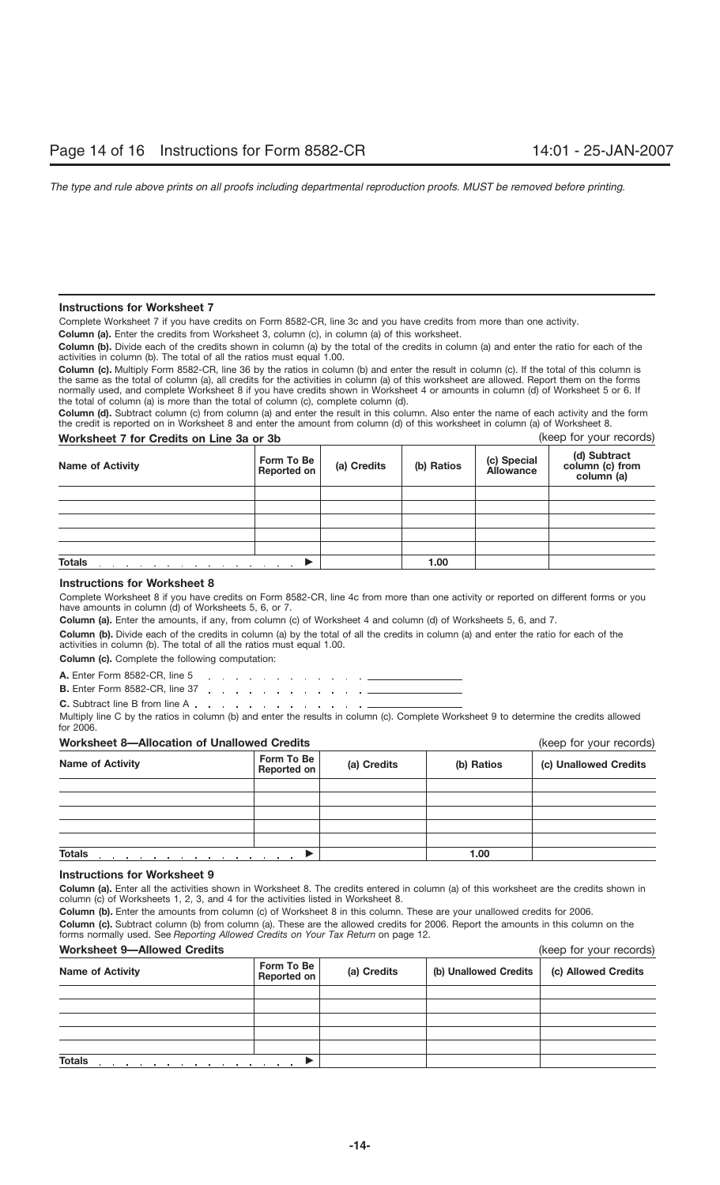# **Instructions for Worksheet 7**

Complete Worksheet 7 if you have credits on Form 8582-CR, line 3c and you have credits from more than one activity.

**Column (a).** Enter the credits from Worksheet 3, column (c), in column (a) of this worksheet.

**Column (b).** Divide each of the credits shown in column (a) by the total of the credits in column (a) and enter the ratio for each of the activities in column (b). The total of all the ratios must equal 1.00.

**Column (c).** Multiply Form 8582-CR, line 36 by the ratios in column (b) and enter the result in column (c). If the total of this column is the same as the total of column (a), all credits for the activities in column (a) of this worksheet are allowed. Report them on the forms normally used, and complete Worksheet 8 if you have credits shown in Worksheet 4 or amounts in column (d) of Worksheet 5 or 6. If the total of column (a) is more than the total of column (c), complete column (d).

**Column (d).** Subtract column (c) from column (a) and enter the result in this column. Also enter the name of each activity and the form the credit is reported on in Worksheet 8 and enter the amount from column (d) of this worksheet in column (a) of Worksheet 8.

| (keep for your records)<br>Worksheet 7 for Credits on Line 3a or 3b |                           |             |            |                                 |                                               |
|---------------------------------------------------------------------|---------------------------|-------------|------------|---------------------------------|-----------------------------------------------|
| <b>Name of Activity</b>                                             | Form To Be<br>Reported on | (a) Credits | (b) Ratios | (c) Special<br><b>Allowance</b> | (d) Subtract<br>column (c) from<br>column (a) |
|                                                                     |                           |             |            |                                 |                                               |
|                                                                     |                           |             |            |                                 |                                               |
|                                                                     |                           |             |            |                                 |                                               |
|                                                                     |                           |             |            |                                 |                                               |
|                                                                     |                           |             |            |                                 |                                               |
| <b>Totals</b>                                                       |                           | 1.00        |            |                                 |                                               |

# **Instructions for Worksheet 8**

Complete Worksheet 8 if you have credits on Form 8582-CR, line 4c from more than one activity or reported on different forms or you have amounts in column (d) of Worksheets 5, 6, or 7.

**Column (a).** Enter the amounts, if any, from column (c) of Worksheet 4 and column (d) of Worksheets 5, 6, and 7.

**Column (b).** Divide each of the credits in column (a) by the total of all the credits in column (a) and enter the ratio for each of the activities in column (b). The total of all the ratios must equal 1.00.

**Column (c).** Complete the following computation:

**A.** Enter Form 8582-CR, line 5 سافا والمنافر والمنافر والمنافر والمنافرة **B.** Enter Form 8582-CR, line 37 (a)  $\therefore$  (b) (b) (c) (c) (c) (c) (c) (c)

**C.** Subtract line B from line A Multiply line C by the ratios in column (b) and enter the results in column (c). Complete Worksheet 9 to determine the credits allowed for 2006.

# **Worksheet 8—Allocation of Unallowed Credits** (keep for your records)

| <b>THE DESIGNATION OF STREET SECTION</b>                                                                                         | $(100)$ ior your rooordo)        |             |            |                       |
|----------------------------------------------------------------------------------------------------------------------------------|----------------------------------|-------------|------------|-----------------------|
| <b>Name of Activity</b>                                                                                                          | Form To Be<br><b>Reported on</b> | (a) Credits | (b) Ratios | (c) Unallowed Credits |
|                                                                                                                                  |                                  |             |            |                       |
|                                                                                                                                  |                                  |             |            |                       |
|                                                                                                                                  |                                  |             |            |                       |
|                                                                                                                                  |                                  |             |            |                       |
|                                                                                                                                  |                                  |             |            |                       |
| <b>Totals</b><br>the contract of the contract of the contract of the contract of the contract of the contract of the contract of |                                  |             | 1.00       |                       |

# **Instructions for Worksheet 9**

**Column (a).** Enter all the activities shown in Worksheet 8. The credits entered in column (a) of this worksheet are the credits shown in column (c) of Worksheets 1, 2, 3, and 4 for the activities listed in Worksheet 8.

**Column (b).** Enter the amounts from column (c) of Worksheet 8 in this column. These are your unallowed credits for 2006. **Column (c).** Subtract column (b) from column (a). These are the allowed credits for 2006. Report the amounts in this column on the forms normally used. See *Reporting Allowed Credits on Your Tax Return* on page 12.

# **Worksheet 9—Allowed Credits** (keep for your records)

| <u>WULKSILEEL 3 HAILUWEU ULEUILS</u>                             | IVEEN IN YOUI IECNIUSI                   |  |                       |                     |  |
|------------------------------------------------------------------|------------------------------------------|--|-----------------------|---------------------|--|
| <b>Name of Activity</b>                                          | Form To Be<br>(a) Credits<br>Reported on |  | (b) Unallowed Credits | (c) Allowed Credits |  |
|                                                                  |                                          |  |                       |                     |  |
|                                                                  |                                          |  |                       |                     |  |
|                                                                  |                                          |  |                       |                     |  |
|                                                                  |                                          |  |                       |                     |  |
|                                                                  |                                          |  |                       |                     |  |
| <b>Totals</b><br>the contract of the contract of the contract of |                                          |  |                       |                     |  |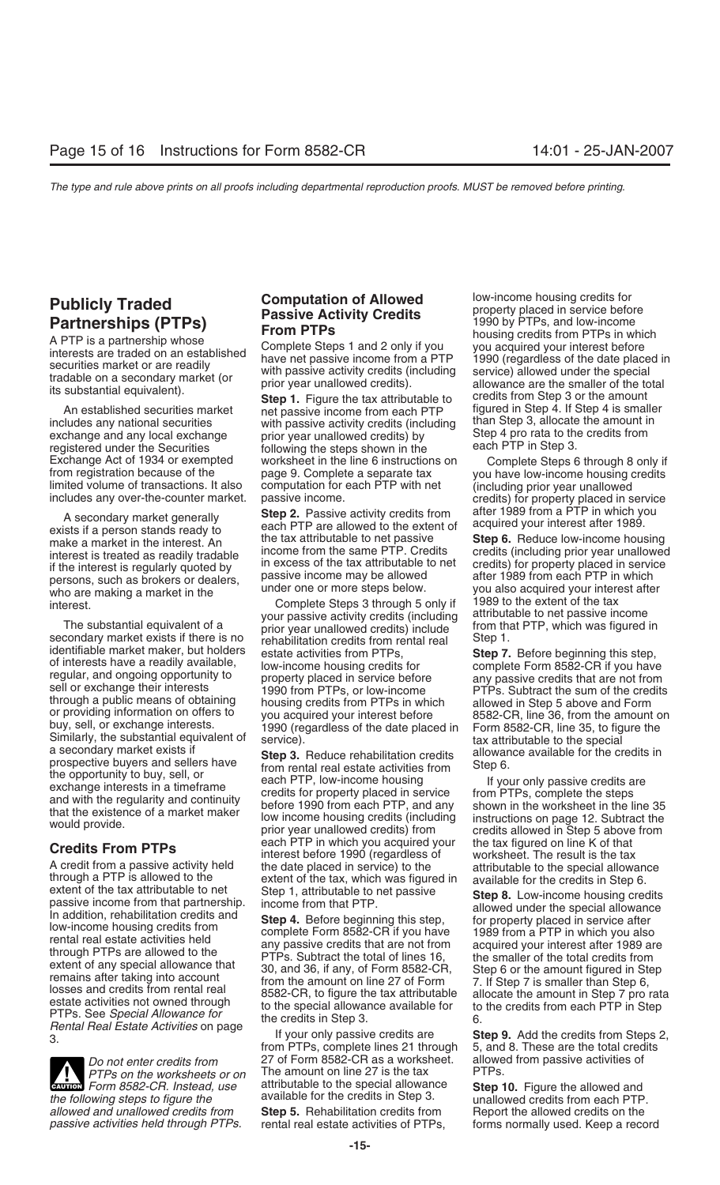persons, such as brokers or dealers, passive income may be anowed<br>who are making a market in the under one or more steps below. you also acquired your interest after<br>interest after complete Steps 3 through 5 only if 1989 t

secondary market exists if there is no secondary rehabilitation credits from rental real<br>identifiable market maker, but holders setate activities from PTPs through a public means of obtaining<br>or providing information on offers to<br>buy, sell, or exchange interests.<br>Similarly, the substantial equivalent of<br>Similarly, the substantial equivalent of<br>service).<br>A sequence rehabilitat

A credit from a passive activity held<br>
the date placed in service) to the<br>
extent of the tax attributable to net extent of the tax which was figured in<br>
extent of the tax attributable to net extent of the tax in studium o

**Evaluat** Form 8582-CR. Instead, use attributable to the special allowance **Step 10.** Figure the allowed and the following steps to figure the  $\blacksquare$  available for the credits in Step 3.  $\blacksquare$  unallowed credits from each *allowed and unallowed credits from* **Step 5.** Rehabilitation credits from Report the allowed credits on the

An established securities market **Step 1.** Figure the tax attributable to credits from Step 3 or the amount<br>An established securities market net passive income from each PTP figured in Step 4. If Step 4 is smaller<br>includes with passive activity credits (including than Step 3, allocate the amount in<br>nrior vear unallowed credits) by Step 4 pro rata to the credits from exchange and any local exchange prior year unallowed credits) by Step 4 pro rata to the registered under the Securities following the steps shown in the each PTP in Step 3. registered under the Securities following the steps shown in the<br>Exchange Act of 1934 or exempted worksheet in the line 6 instructions on Exchange Act of 1934 or exempted worksheet in the line 6 instructions on Complete Steps 6 through 8 only if<br>from registration because of the page 9. Complete a separate tax you have low-income housing credits<br>limited volum

A secondary market generally **Step 2.** Passive activity credits from a fluer 1989 from a PTP in which you each PTP are allowed to the extent of acquired your interest after 1989. The make a market in the interest. An the t interest is treated as readily tradable<br>in excess of the tax attributable to net credits) for property placed in service<br>persons, such as brokers or dealers, persons, such as brokers or dealers,

interest.<br>Complete Steps 3 through 5 only if 1989 to the extent of the tax<br>vour passive activity credits (including attributable to net passive income your passive activity credits (including attributable to net passive income<br>nrior year unallowed credits) include from that PTP, which was figured in The substantial equivalent of a prior year unallowed credits) include from that secondary market exists if there is no representation credits from rental real Step 1. identifiable market maker, but holders estate activities from PTPs,<br>of interests have a readily available,<br>regular, and ongoing opportunity to property placed in service before any passive credits that are not from<br>sell or

prospective buyers and sellers have<br>the opportunity to buy, sell, or<br>exchange interests in a timeframe each PTP, low-income housing<br>and with the regularity and continuity<br>that the existence of a market maker<br>would provide. each PTP in which you acquired your the tax figured on line K of that<br>interest before 1990 (regardless of worksheet. The result is the tax<br>A credit from a passive activity held the date placed in service) to the attributab

*Do not enter credits from* 27 of Form 8582-CR as a worksheet. allowed from passive activities of *PTPs on the worksheets or on* The amount on line 27 is the tax PTPs. *PTPs on the worksheets or on* The amount on line 27 is the tax *Form 8582-CR Instead use* attributable to the special allowance **CAUTION FORM CAUTION FORM CAUTION CAUTION FORM FORM CAUTION Form 8582-CR.** Instead, use attributable to the special allowance **Step 10.** Figure the allowed and

**Publicly Traded**<br> **Partnerships (PTPs)**<br>
A PTP is a partnership whose<br>
interests are traded on an established<br>
securities market or are readily<br>
tradable on a secondary market (or<br>
tradable on a secondary market (or<br>
its

limited volume of transactions. It also computation for each PTP with net (including prior year unallowed<br>includes any over-the-counter market. passive income. credits from a FTP in which you<br>A sesender market senselly. St

the tax attributable to net passive **Step 6.** Reduce low-income housing<br>income from the same PTP. Credits credits (including prior year unallowed

rental real estate activities of PTPs, forms normally used. Keep a record